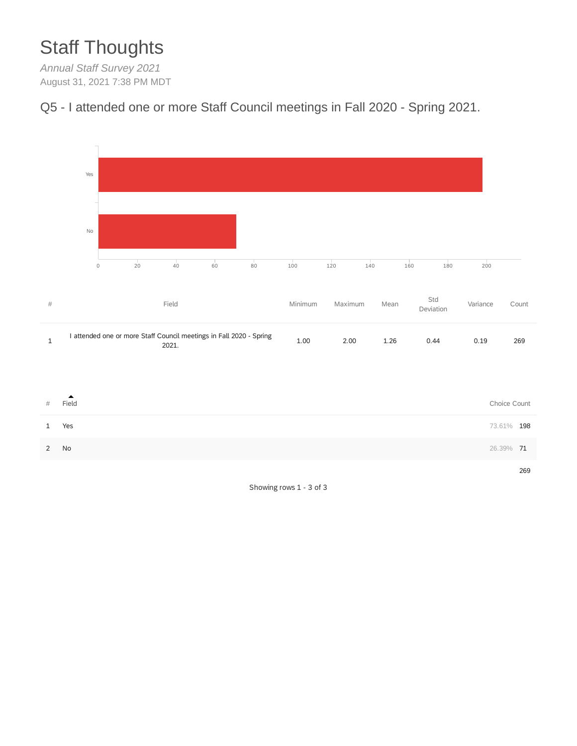# Staff Thoughts

*Annual Staff Survey 2021* August 31, 2021 7:38 PM MDT





Showing rows 1 - 3 of 3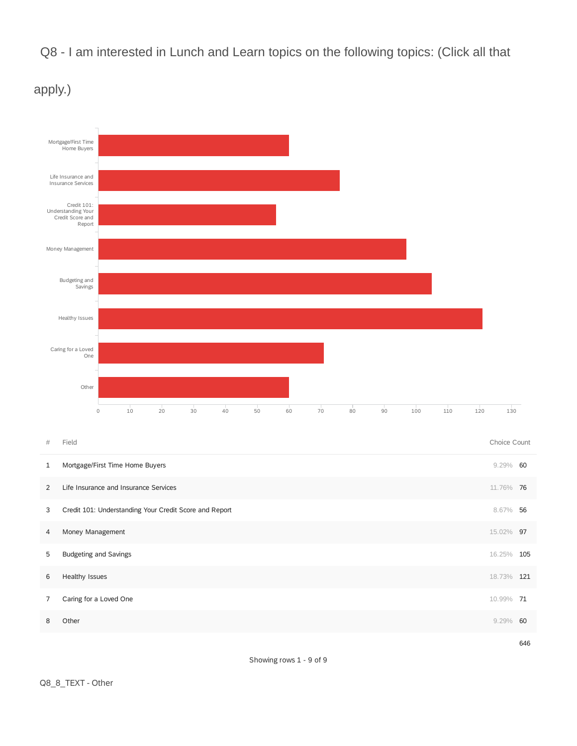Q8 - I am interested in Lunch and Learn topics on the following topics: (Click all that



apply.)

**6 Healthy Issues** 18.73% **121** 

7 Caring for a Loved One 10.99% 71

**8 Other 9.29% 60** 

646

Showing rows 1 - 9 of 9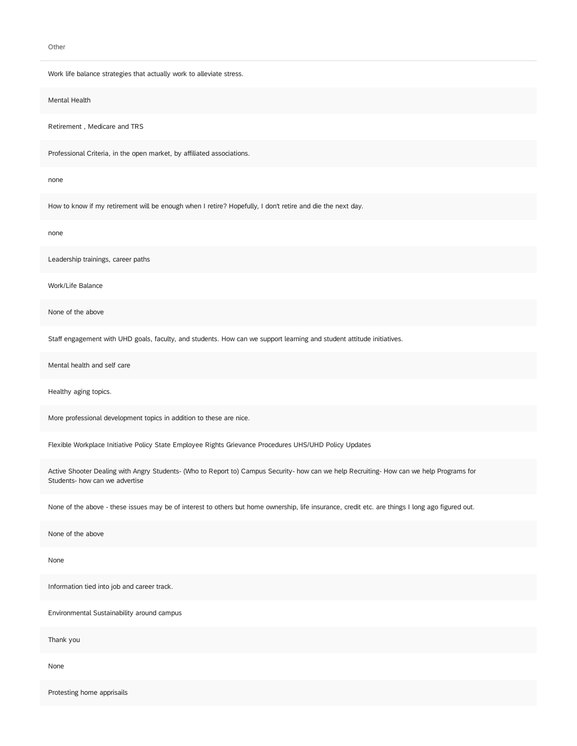Other

Work life balance strategies that actually work to alleviate stress.

Mental Health

Retirement , Medicare and TRS

Professional Criteria, in the open market, by affiliated associations.

none

How to know if my retirement will be enough when I retire? Hopefully, I don't retire and die the next day.

none

Leadership trainings, career paths

Work/Life Balance

None of the above

Staff engagement with UHD goals, faculty, and students. How can we support learning and student attitude initiatives.

Mental health and self care

Healthy aging topics.

More professional development topics in addition to these are nice.

Flexible Workplace Initiative Policy State Employee Rights Grievance Procedures UHS/UHD Policy Updates

Active Shooter Dealing with Angry Students- (Who to Report to) Campus Security- how can we help Recruiting- How can we help Programs for Students- how can we advertise

None of the above - these issues may be of interest to others but home ownership, life insurance, credit etc. are things I long ago figured out.

None of the above

None

Information tied into job and career track.

Environmental Sustainability around campus

Thank you

None

Protesting home apprisails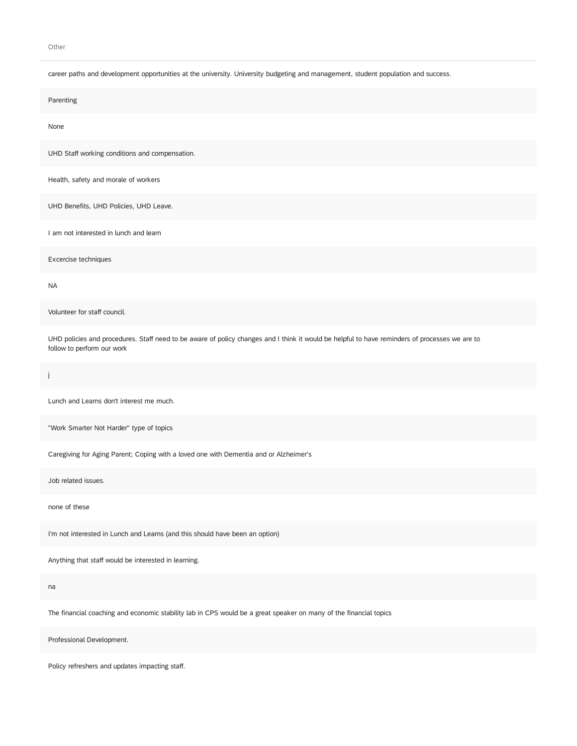#### Other

#### career paths and development opportunities at the university. University budgeting and management, student population and success.

| career paths and development opportunities at the university. Onlyersity budgeting and management, student population and success.                                           |
|------------------------------------------------------------------------------------------------------------------------------------------------------------------------------|
| Parenting                                                                                                                                                                    |
| None                                                                                                                                                                         |
| UHD Staff working conditions and compensation.                                                                                                                               |
| Health, safety and morale of workers                                                                                                                                         |
| UHD Benefits, UHD Policies, UHD Leave.                                                                                                                                       |
| I am not interested in lunch and learn                                                                                                                                       |
| Excercise techniques                                                                                                                                                         |
| <b>NA</b>                                                                                                                                                                    |
| Volunteer for staff council.                                                                                                                                                 |
| UHD policies and procedures. Staff need to be aware of policy changes and I think it would be helpful to have reminders of processes we are to<br>follow to perform our work |
| j                                                                                                                                                                            |
| Lunch and Learns don't interest me much.                                                                                                                                     |
| "Work Smarter Not Harder" type of topics                                                                                                                                     |
| Caregiving for Aging Parent; Coping with a loved one with Dementia and or Alzheimer's                                                                                        |
| Job related issues.                                                                                                                                                          |
| none of these                                                                                                                                                                |
|                                                                                                                                                                              |
| I'm not interested in Lunch and Learns (and this should have been an option)                                                                                                 |
| Anything that staff would be interested in learning.                                                                                                                         |
| na                                                                                                                                                                           |

Professional Development.

Policy refreshers and updates impacting staff.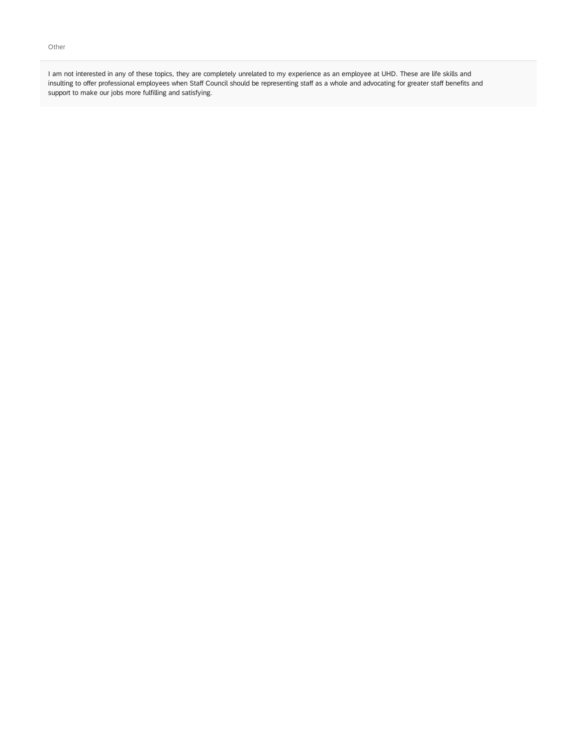I am not interested in any of these topics, they are completely unrelated to my experience as an employee at UHD. These are life skills and insulting to offer professional employees when Staff Council should be representing staff as a whole and advocating for greater staff benefits and support to make our jobs more fulfilling and satisfying.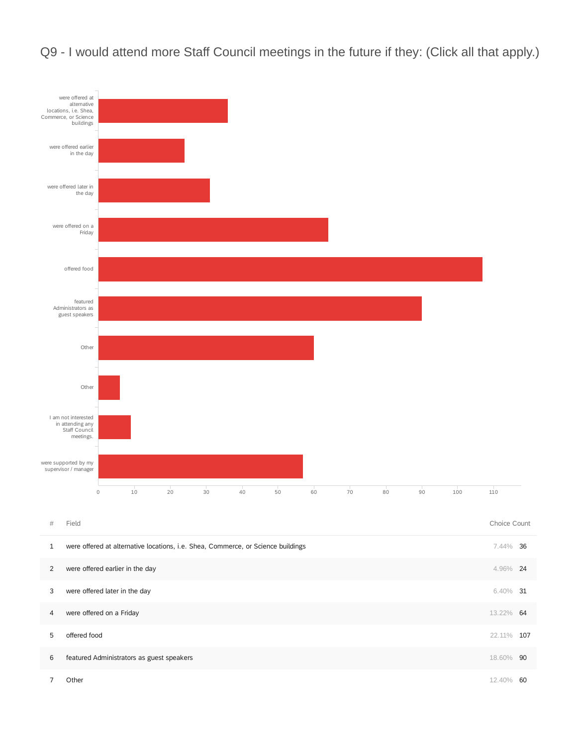

Q9 - I would attend more Staff Council meetings in the future if they: (Click all that apply.)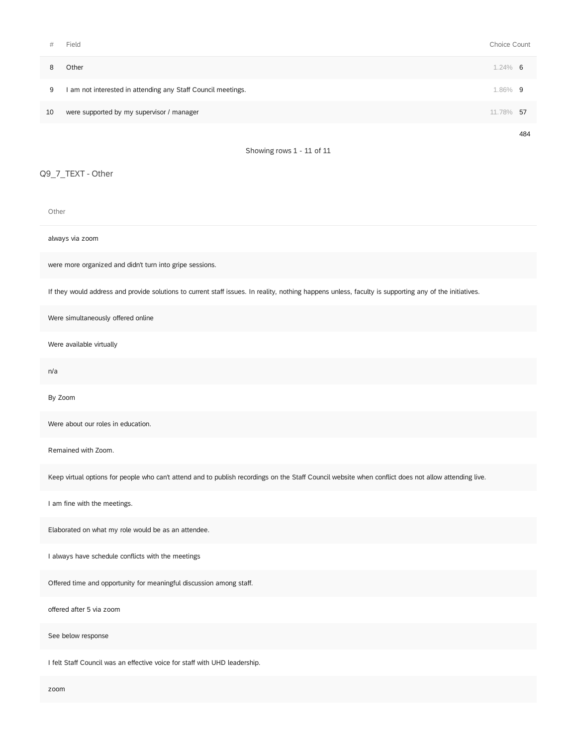| #  | Field                                                        | Choice Count |     |  |  |  |  |
|----|--------------------------------------------------------------|--------------|-----|--|--|--|--|
| 8  | Other                                                        | $1.24\%$ 6   |     |  |  |  |  |
| 9  | I am not interested in attending any Staff Council meetings. | 1.86% 9      |     |  |  |  |  |
| 10 | were supported by my supervisor / manager                    | 11.78%       | -57 |  |  |  |  |
|    |                                                              |              | 484 |  |  |  |  |
|    | Showing rows 1 - 11 of 11                                    |              |     |  |  |  |  |

#### Q9\_7\_TEXT - Other

Other

always via zoom

were more organized and didn't turn into gripe sessions.

If they would address and provide solutions to current staff issues. In reality, nothing happens unless, faculty is supporting any of the initiatives.

Were simultaneously offered online

Were available virtually

n/a

By Zoom

Were about our roles in education.

Remained with Zoom.

Keep virtual options for people who can't attend and to publish recordings on the Staff Council website when conflict does not allow attending live.

I am fine with the meetings.

Elaborated on what my role would be as an attendee.

I always have schedule conflicts with the meetings

Offered time and opportunity for meaningful discussion among staff.

offered after 5 via zoom

See below response

I felt Staff Council was an effective voice for staff with UHD leadership.

zoom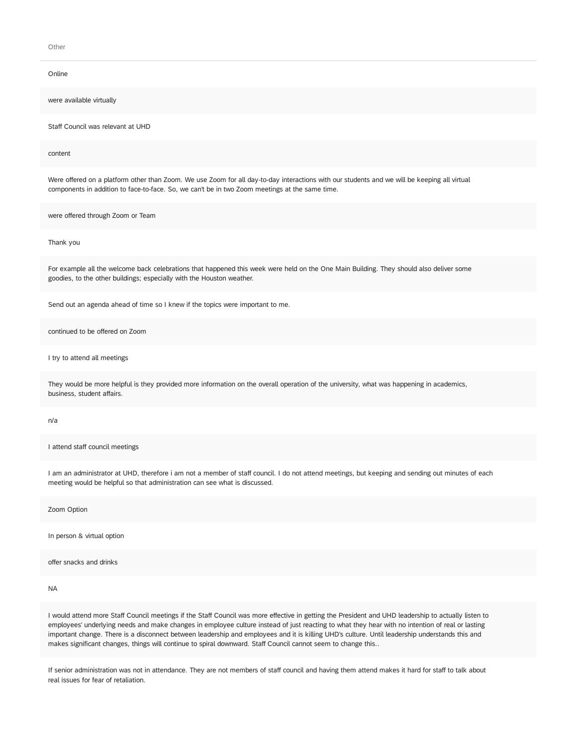Other

| Online                                                                                                                                                                                                                                         |
|------------------------------------------------------------------------------------------------------------------------------------------------------------------------------------------------------------------------------------------------|
| were available virtually                                                                                                                                                                                                                       |
| Staff Council was relevant at UHD                                                                                                                                                                                                              |
| content                                                                                                                                                                                                                                        |
| Were offered on a platform other than Zoom. We use Zoom for all day-to-day interactions with our students and we will be keeping all virtual<br>components in addition to face-to-face. So, we can't be in two Zoom meetings at the same time. |
| were offered through Zoom or Team                                                                                                                                                                                                              |
| Thank you                                                                                                                                                                                                                                      |
| For example all the welcome back celebrations that happened this week were held on the One Main Building. They should also deliver some<br>goodies, to the other buildings; especially with the Houston weather.                               |
| Send out an agenda ahead of time so I knew if the topics were important to me.                                                                                                                                                                 |
| continued to be offered on Zoom                                                                                                                                                                                                                |
| I try to attend all meetings                                                                                                                                                                                                                   |
| They would be more helpful is they provided more information on the overall operation of the university, what was happening in academics,<br>business, student affairs.                                                                        |
| n/a                                                                                                                                                                                                                                            |
| I attend staff council meetings                                                                                                                                                                                                                |
| I am an administrator at UHD, therefore i am not a member of staff council. I do not attend meetings, but keeping and sending out minutes of each<br>meeting would be helpful so that administration can see what is discussed.                |
| Zoom Option                                                                                                                                                                                                                                    |
| In person & virtual option                                                                                                                                                                                                                     |
| offer snacks and drinks                                                                                                                                                                                                                        |
| <b>NA</b>                                                                                                                                                                                                                                      |

I would attend more Staff Council meetings if the Staff Council was more effective in getting the President and UHD leadership to actually listen to employees' underlying needs and make changes in employee culture instead of just reacting to what they hear with no intention of real or lasting important change. There is a disconnect between leadership and employees and it is killing UHD's culture. Until leadership understands this and makes significant changes, things will continue to spiral downward. Staff Council cannot seem to change this..

If senior administration was not in attendance. They are not members of staff council and having them attend makes it hard for staff to talk about real issues for fear of retaliation.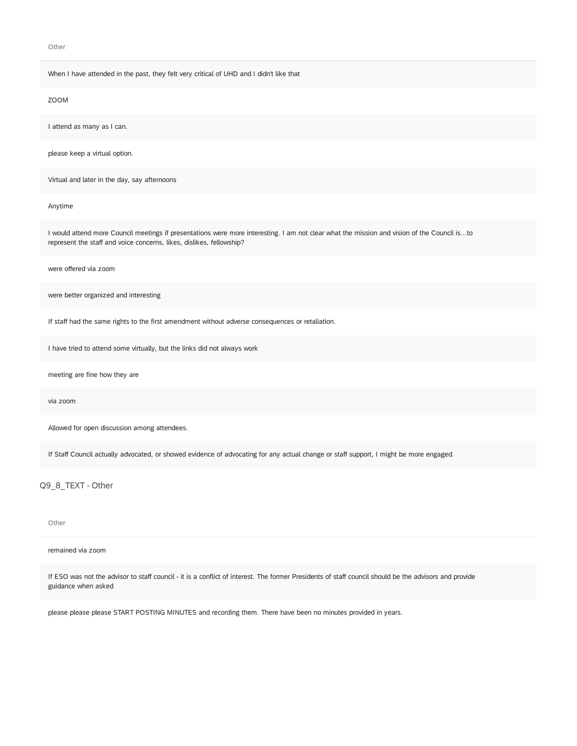Other

#### When I have attended in the past, they felt very critical of UHD and I didn't like that

#### ZOOM

I attend as many as I can.

please keep a virtual option.

Virtual and later in the day, say afternoons

#### Anytime

I would attend more Council meetings if presentations were more interesting. I am not clear what the mission and vision of the Council is...to represent the staff and voice concerns, likes, dislikes, fellowship?

were offered via zoom

were better organized and interesting

If staff had the same rights to the first amendment without adverse consequences or retaliation.

I have tried to attend some virtually, but the links did not always work

meeting are fine how they are

via zoom

Allowed for open discussion among attendees.

If Staff Council actually advocated, or showed evidence of advocating for any actual change or staff support, I might be more engaged.

Q9\_8\_TEXT - Other

Other

remained via zoom

If ESO was not the advisor to staff council - it is a conflict of interest. The former Presidents of staff council should be the advisors and provide guidance when asked

please please please START POSTING MINUTES and recording them. There have been no minutes provided in years.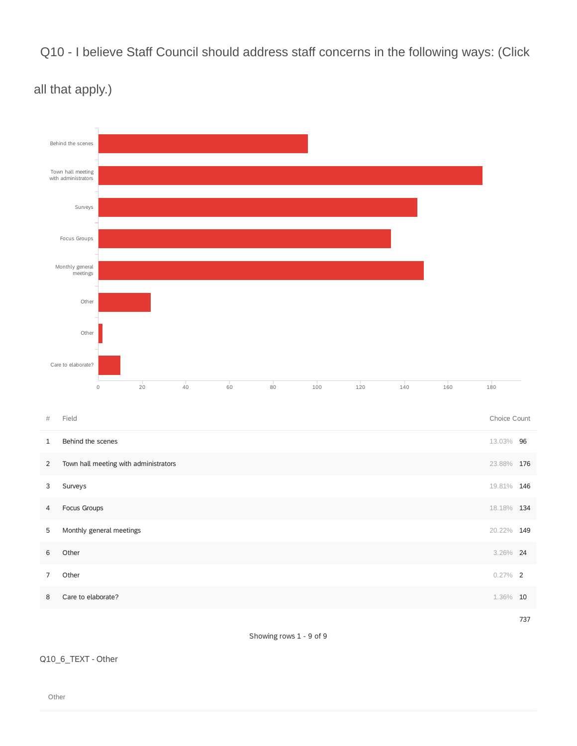Q10 - I believe Staff Council should address staff concerns in the following ways: (Click



### all that apply.)

Showing rows 1 - 9 of 9

### Q10\_6\_TEXT - Other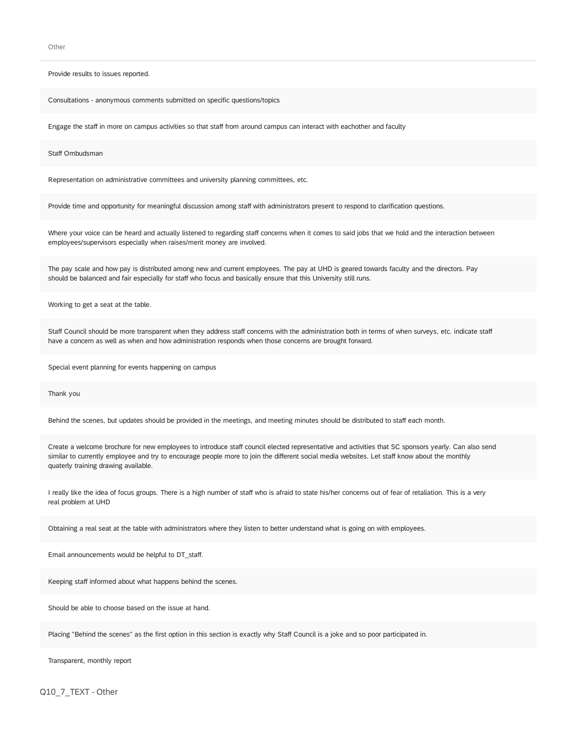**Other** 

Provide results to issues reported.

Consultations - anonymous comments submitted on specific questions/topics

Engage the staff in more on campus activities so that staff from around campus can interact with eachother and faculty

Staff Ombudsman

Representation on administrative committees and university planning committees, etc.

Provide time and opportunity for meaningful discussion among staff with administrators present to respond to clarification questions.

Where your voice can be heard and actually listened to regarding staff concerns when it comes to said jobs that we hold and the interaction between employees/supervisors especially when raises/merit money are involved.

The pay scale and how pay is distributed among new and current employees. The pay at UHD is geared towards faculty and the directors. Pay should be balanced and fair especially for staff who focus and basically ensure that this University still runs.

Working to get a seat at the table.

Staff Council should be more transparent when they address staff concerns with the administration both in terms of when surveys, etc. indicate staff have a concern as well as when and how administration responds when those concerns are brought forward.

Special event planning for events happening on campus

Thank you

Behind the scenes, but updates should be provided in the meetings, and meeting minutes should be distributed to staff each month.

Create a welcome brochure for new employees to introduce staff council elected representative and activities that SC sponsors yearly. Can also send similar to currently employee and try to encourage people more to join the different social media websites. Let staff know about the monthly quaterly training drawing available.

I really like the idea of focus groups. There is a high number of staff who is afraid to state his/her concerns out of fear of retaliation. This is a very real problem at UHD

Obtaining a real seat at the table with administrators where they listen to better understand what is going on with employees.

Email announcements would be helpful to DT\_staff.

Keeping staff informed about what happens behind the scenes.

Should be able to choose based on the issue at hand.

Placing "Behind the scenes" as the first option in this section is exactly why Staff Council is a joke and so poor participated in.

Transparent, monthly report

Q10\_7\_TEXT - Other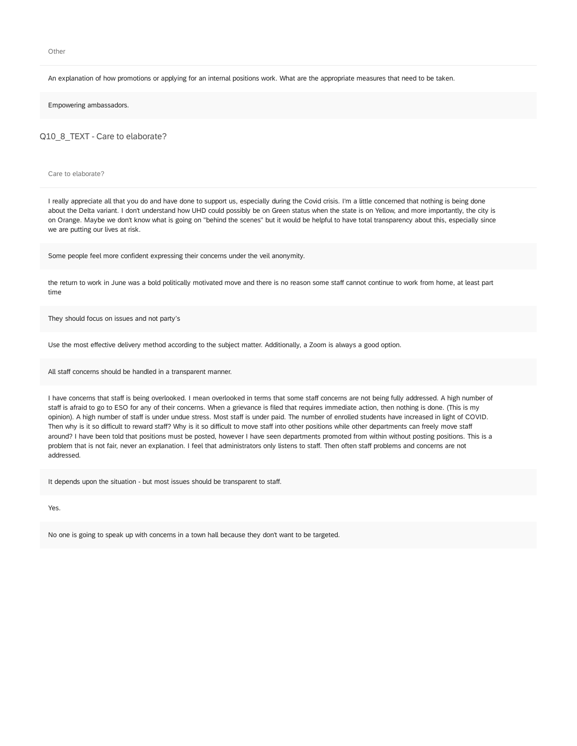Other

An explanation of how promotions or applying for an internal positions work. What are the appropriate measures that need to be taken.

Empowering ambassadors.

Q10\_8\_TEXT - Care to elaborate?

Care to elaborate?

I really appreciate all that you do and have done to support us, especially during the Covid crisis. I'm a little concerned that nothing is being done about the Delta variant. I don't understand how UHD could possibly be on Green status when the state is on Yellow, and more importantly, the city is on Orange. Maybe we don't know what is going on "behind the scenes" but it would be helpful to have total transparency about this, especially since we are putting our lives at risk.

Some people feel more confident expressing their concerns under the veil anonymity.

the return to work in June was a bold politically motivated move and there is no reason some staff cannot continue to work from home, at least part time

They should focus on issues and not party's

Use the most effective delivery method according to the subject matter. Additionally, a Zoom is always a good option.

All staff concerns should be handled in a transparent manner.

I have concerns that staff is being overlooked. I mean overlooked in terms that some staff concerns are not being fully addressed. A high number of staff is afraid to go to ESO for any of their concerns. When a grievance is filed that requires immediate action, then nothing is done. (This is my opinion). A high number of staff is under undue stress. Most staff is under paid. The number of enrolled students have increased in light of COVID. Then why is it so difficult to reward staff? Why is it so difficult to move staff into other positions while other departments can freely move staff around? I have been told that positions must be posted, however I have seen departments promoted from within without posting positions. This is a problem that is not fair, never an explanation. I feel that administrators only listens to staff. Then often staff problems and concerns are not addressed.

It depends upon the situation - but most issues should be transparent to staff.

Yes.

No one is going to speak up with concerns in a town hall because they don't want to be targeted.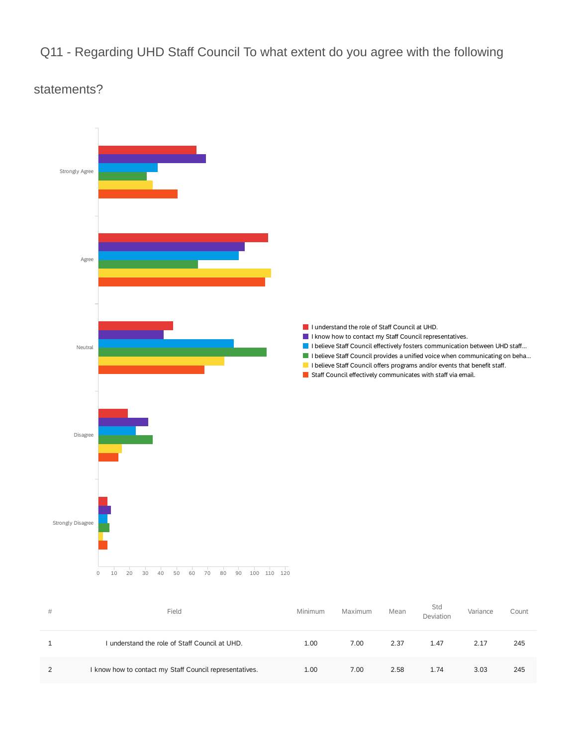### Q11 - Regarding UHD Staff Council To what extent do you agree with the following

### statements?



| # | Field                                                   | Minimum | Maximum | Mean | Std<br>Deviation | Variance | Count |
|---|---------------------------------------------------------|---------|---------|------|------------------|----------|-------|
|   | understand the role of Staff Council at UHD.            | 1.00    | 7.00    | 2.37 | 1.47             | 2.17     | 245   |
|   | I know how to contact my Staff Council representatives. | 1.00    | 7.00    | 2.58 | 1.74             | 3.03     | 245   |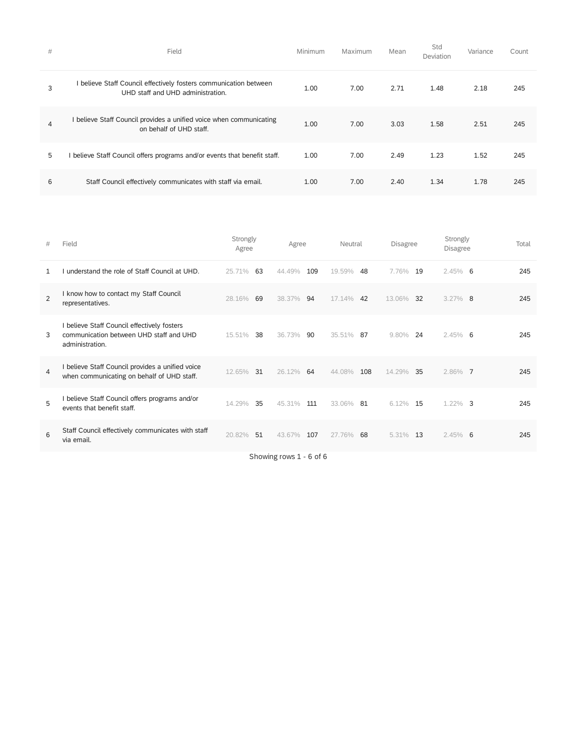| # | Field                                                                                                  | Minimum | Maximum | Mean | Std<br>Deviation | Variance | Count |
|---|--------------------------------------------------------------------------------------------------------|---------|---------|------|------------------|----------|-------|
| 3 | I believe Staff Council effectively fosters communication between<br>UHD staff and UHD administration. | 1.00    | 7.00    | 2.71 | 1.48             | 2.18     | 245   |
| 4 | I believe Staff Council provides a unified voice when communicating<br>on behalf of UHD staff.         | 1.00    | 7.00    | 3.03 | 1.58             | 2.51     | 245   |
| 5 | believe Staff Council offers programs and/or events that benefit staff.                                | 1.00    | 7.00    | 2.49 | 1.23             | 1.52     | 245   |
| 6 | Staff Council effectively communicates with staff via email.                                           | 1.00    | 7.00    | 2.40 | 1.34             | 1.78     | 245   |

| # | Field                                                                                                   | Strongly<br>Agree | Agree                   | Neutral       | <b>Disagree</b> | Strongly<br><b>Disagree</b> | Total |
|---|---------------------------------------------------------------------------------------------------------|-------------------|-------------------------|---------------|-----------------|-----------------------------|-------|
| 1 | understand the role of Staff Council at UHD.                                                            | 63<br>25.71%      | 109<br>44.49%           | 19.59%<br>48  | 7.76%<br>19     | $2.45\%$ 6                  | 245   |
| 2 | know how to contact my Staff Council<br>representatives.                                                | 69<br>28.16%      | 94<br>38.37%            | 17.14%<br>42  | 13.06%<br>32    | $3.27\%$ 8                  | 245   |
| 3 | believe Staff Council effectively fosters<br>communication between UHD staff and UHD<br>administration. | 38<br>15.51%      | 90<br>36.73%            | 35.51%<br>87  | 9.80%<br>24     | $2.45\%$ 6                  | 245   |
| 4 | believe Staff Council provides a unified voice<br>when communicating on behalf of UHD staff.            | 12.65%<br>31      | 64<br>26.12%            | 44.08%<br>108 | 14.29%<br>35    | 2.86% 7                     | 245   |
| 5 | believe Staff Council offers programs and/or<br>events that benefit staff.                              | 14.29%<br>35      | 45.31%<br>111           | 33.06% 81     | $6.12\%$<br>15  | $1.22\%$ 3                  | 245   |
| 6 | Staff Council effectively communicates with staff<br>via email.                                         | 51<br>20.82%      | 107<br>43.67%           | 68<br>27.76%  | 5.31%<br>13     | $2.45\%$ 6                  | 245   |
|   |                                                                                                         |                   | Showing rows 1 - 6 of 6 |               |                 |                             |       |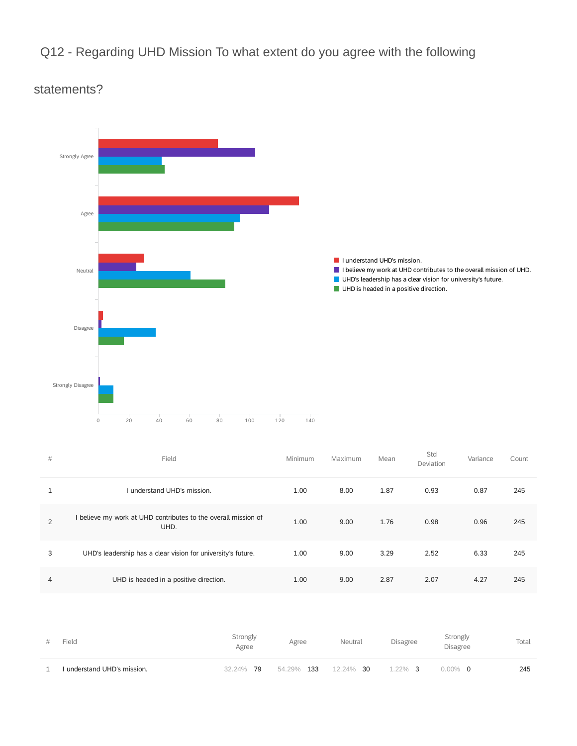## Q12 - Regarding UHD Mission To what extent do you agree with the following



### statements?

| # | Field                                                                | Minimum | Maximum | Mean | Std<br>Deviation | Variance | Count |
|---|----------------------------------------------------------------------|---------|---------|------|------------------|----------|-------|
| 1 | Lunderstand UHD's mission.                                           | 1.00    | 8.00    | 1.87 | 0.93             | 0.87     | 245   |
| 2 | believe my work at UHD contributes to the overall mission of<br>UHD. | 1.00    | 9.00    | 1.76 | 0.98             | 0.96     | 245   |
| 3 | UHD's leadership has a clear vision for university's future.         | 1.00    | 9.00    | 3.29 | 2.52             | 6.33     | 245   |
| 4 | UHD is headed in a positive direction.                               | 1.00    | 9.00    | 2.87 | 2.07             | 4.27     | 245   |

| Field                       | Strongly<br>Agree | Agree      | Neutral   | Disagree   | Strongly<br><b>Disagree</b> | Total |
|-----------------------------|-------------------|------------|-----------|------------|-----------------------------|-------|
| I understand UHD's mission. | 32.24% 79         | 54.29% 133 | 12.24% 30 | $1.22\%$ 3 | $0.00\%$ 0                  | 245   |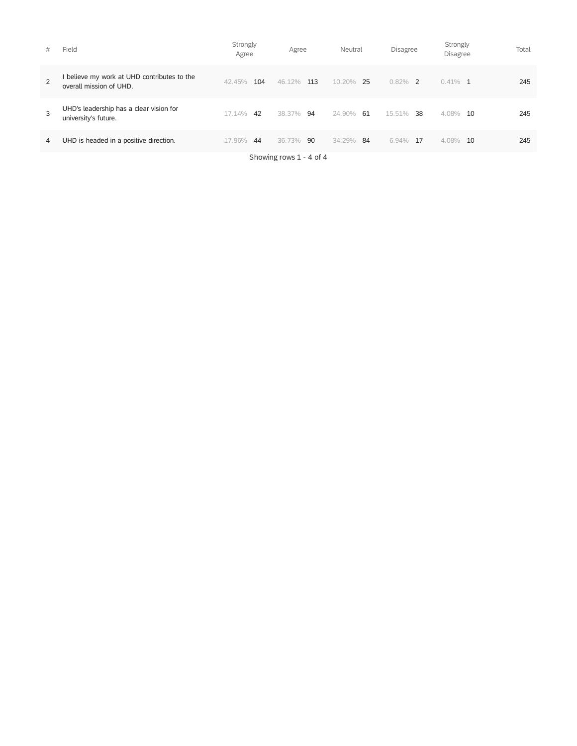| # | Field                                                                | Strongly<br>Agree | Agree         | Neutral       | <b>Disagree</b> | Strongly<br>Disagree | Total |
|---|----------------------------------------------------------------------|-------------------|---------------|---------------|-----------------|----------------------|-------|
| 2 | believe my work at UHD contributes to the<br>overall mission of UHD. | 104<br>42.45%     | 46.12%<br>113 | 10.20%<br>-25 | $0.82\%$ 2      | $0.41\%$ 1           | 245   |
| 3 | UHD's leadership has a clear vision for<br>university's future.      | 17.14%<br>42      | 38.37%<br>94  | 24.90%<br>61  | 15.51%<br>38    | 4.08%<br>10          | 245   |
| 4 | UHD is headed in a positive direction.                               | 17.96%<br>44      | 36.73%<br>90  | 34.29%<br>84  | 6.94%<br>17     | 4.08%<br>10          | 245   |

Showing rows 1 - 4 of 4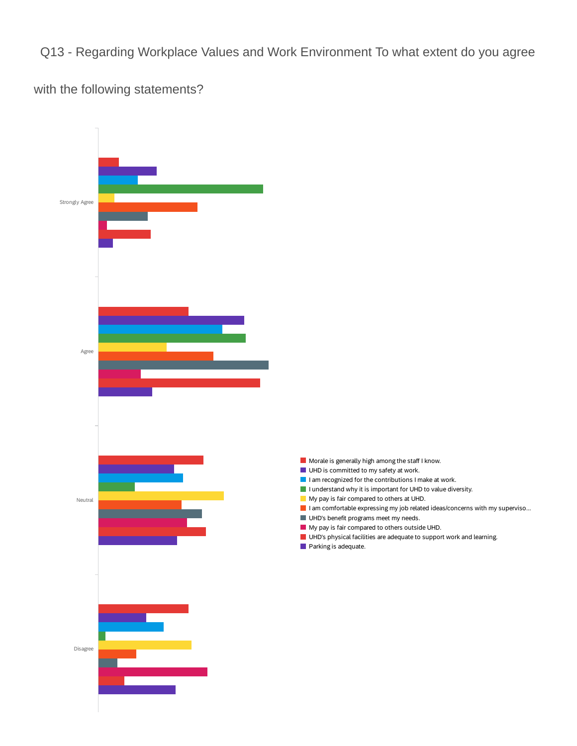Q13 - Regarding Workplace Values and Work Environment To what extent do you agree

with the following statements?

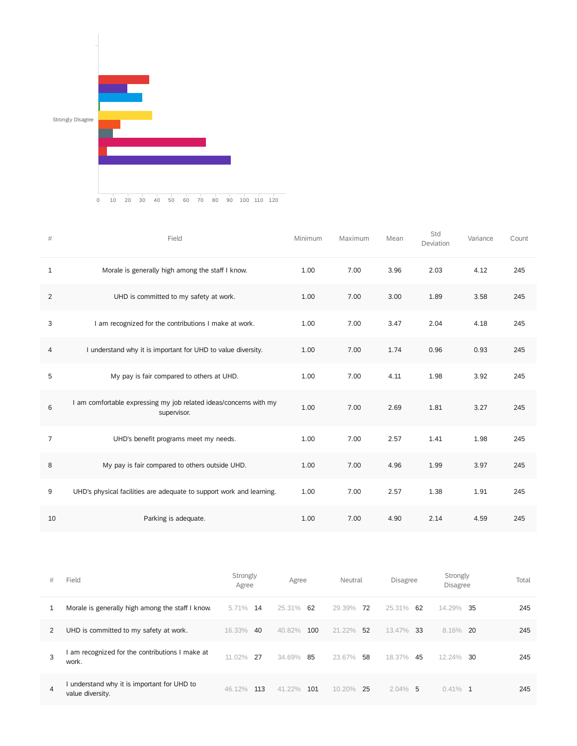

| $\#$           | Field                                                                            | Minimum | Maximum | Mean | Std<br>Deviation | Variance | Count |
|----------------|----------------------------------------------------------------------------------|---------|---------|------|------------------|----------|-------|
| 1              | Morale is generally high among the staff I know.                                 | 1.00    | 7.00    | 3.96 | 2.03             | 4.12     | 245   |
| $\overline{2}$ | UHD is committed to my safety at work.                                           | 1.00    | 7.00    | 3.00 | 1.89             | 3.58     | 245   |
| 3              | I am recognized for the contributions I make at work.                            | 1.00    | 7.00    | 3.47 | 2.04             | 4.18     | 245   |
| 4              | I understand why it is important for UHD to value diversity.                     | 1.00    | 7.00    | 1.74 | 0.96             | 0.93     | 245   |
| 5              | My pay is fair compared to others at UHD.                                        | 1.00    | 7.00    | 4.11 | 1.98             | 3.92     | 245   |
| 6              | I am comfortable expressing my job related ideas/concerns with my<br>supervisor. | 1.00    | 7.00    | 2.69 | 1.81             | 3.27     | 245   |
| 7              | UHD's benefit programs meet my needs.                                            | 1.00    | 7.00    | 2.57 | 1.41             | 1.98     | 245   |
| 8              | My pay is fair compared to others outside UHD.                                   | 1.00    | 7.00    | 4.96 | 1.99             | 3.97     | 245   |
| 9              | UHD's physical facilities are adequate to support work and learning.             | 1.00    | 7.00    | 2.57 | 1.38             | 1.91     | 245   |
| 10             | Parking is adequate.                                                             | 1.00    | 7.00    | 4.90 | 2.14             | 4.59     | 245   |

| # | Field                                                         | Strongly<br>Agree | Agree         | Neutral      | <b>Disagree</b> | Strongly<br><b>Disagree</b> | Total |
|---|---------------------------------------------------------------|-------------------|---------------|--------------|-----------------|-----------------------------|-------|
| 1 | Morale is generally high among the staff I know.              | 5.71%<br>14       | 25.31%<br>62  | 29.39%<br>72 | 25.31%<br>62    | 14.29%<br>35                | 245   |
| 2 | UHD is committed to my safety at work.                        | 16.33%<br>40      | 100<br>40.82% | 21.22%<br>52 | 13.47%<br>-33   | -20<br>8.16%                | 245   |
| 3 | am recognized for the contributions I make at<br>work.        | -27<br>11.02%     | 85<br>34.69%  | 23.67%<br>58 | 18.37%<br>45    | 12.24%<br>30                | 245   |
| 4 | understand why it is important for UHD to<br>value diversity. | 113<br>46.12%     | 101<br>41.22% | 10.20%<br>25 | $2.04\%$<br>5   | $0.41\%$ 1                  | 245   |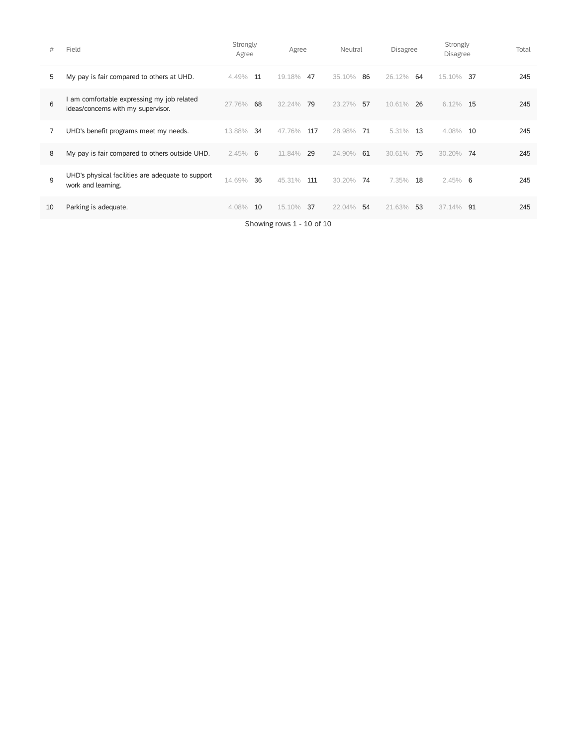| #  | Field                                                                          | Strongly<br>Agree |    | Agree                     |     | Neutral |    | <b>Disagree</b> |    | Strongly<br><b>Disagree</b> |    | Total |
|----|--------------------------------------------------------------------------------|-------------------|----|---------------------------|-----|---------|----|-----------------|----|-----------------------------|----|-------|
| 5  | My pay is fair compared to others at UHD.                                      | 4.49%             | 11 | 19.18%                    | 47  | 35.10%  | 86 | 26.12%          | 64 | 15.10%                      | 37 | 245   |
| 6  | am comfortable expressing my job related<br>ideas/concerns with my supervisor. | 27.76%            | 68 | 32.24%                    | 79  | 23.27%  | 57 | 10.61%          | 26 | 6.12%                       | 15 | 245   |
| 7  | UHD's benefit programs meet my needs.                                          | 13.88%            | 34 | 47.76%                    | 117 | 28.98%  | 71 | 5.31%           | 13 | 4.08%                       | 10 | 245   |
| 8  | My pay is fair compared to others outside UHD.                                 | $2.45\%$ 6        |    | 11.84%                    | 29  | 24.90%  | 61 | 30.61%          | 75 | 30.20%                      | 74 | 245   |
| 9  | UHD's physical facilities are adequate to support<br>work and learning.        | 14.69%            | 36 | 45.31%                    | 111 | 30.20%  | 74 | 7.35%           | 18 | $2.45\%$ 6                  |    | 245   |
| 10 | Parking is adequate.                                                           | 4.08%             | 10 | 15.10%                    | 37  | 22.04%  | 54 | 21.63%          | 53 | 37.14%                      | 91 | 245   |
|    |                                                                                |                   |    | Showing rows 1 - 10 of 10 |     |         |    |                 |    |                             |    |       |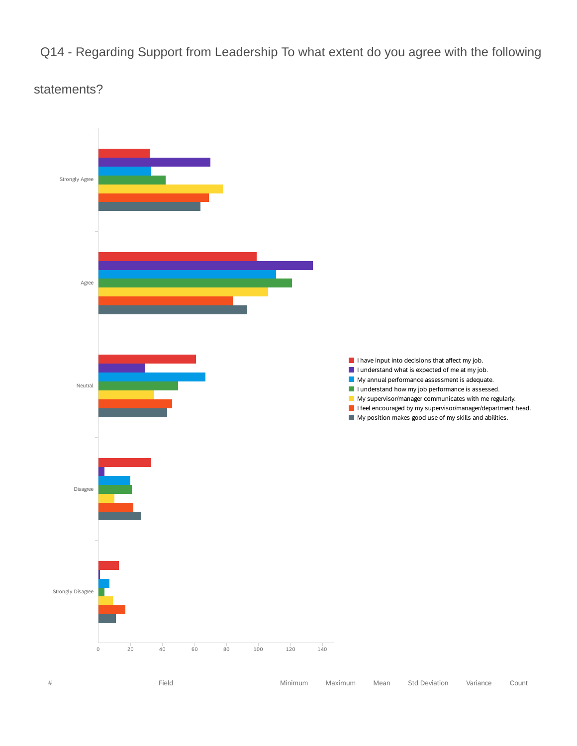Q14 - Regarding Support from Leadership To what extent do you agree with the following

### statements?

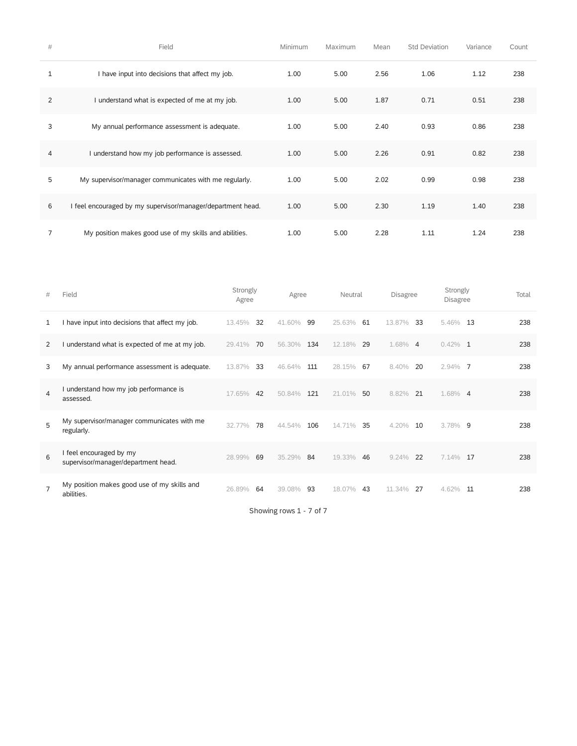| $\#$           | Field                                                     | Minimum | Maximum | Mean | <b>Std Deviation</b> | Variance | Count |
|----------------|-----------------------------------------------------------|---------|---------|------|----------------------|----------|-------|
| 1              | I have input into decisions that affect my job.           | 1.00    | 5.00    | 2.56 | 1.06                 | 1.12     | 238   |
| 2              | I understand what is expected of me at my job.            | 1.00    | 5.00    | 1.87 | 0.71                 | 0.51     | 238   |
| 3              | My annual performance assessment is adequate.             | 1.00    | 5.00    | 2.40 | 0.93                 | 0.86     | 238   |
| $\overline{4}$ | I understand how my job performance is assessed.          | 1.00    | 5.00    | 2.26 | 0.91                 | 0.82     | 238   |
| 5              | My supervisor/manager communicates with me regularly.     | 1.00    | 5.00    | 2.02 | 0.99                 | 0.98     | 238   |
| 6              | feel encouraged by my supervisor/manager/department head. | 1.00    | 5.00    | 2.30 | 1.19                 | 1.40     | 238   |
| 7              | My position makes good use of my skills and abilities.    | 1.00    | 5.00    | 2.28 | 1.11                 | 1.24     | 238   |

| #              | Field                                                        | Strongly<br>Agree | Agree         | Neutral      | <b>Disagree</b> | Strongly<br><b>Disagree</b> | Total |
|----------------|--------------------------------------------------------------|-------------------|---------------|--------------|-----------------|-----------------------------|-------|
| 1              | have input into decisions that affect my job.                | 32<br>13.45%      | 41.60%<br>99  | 25.63%<br>61 | 13.87%<br>33    | 5.46%<br>13                 | 238   |
| 2              | understand what is expected of me at my job.                 | 29.41%<br>70      | 134<br>56.30% | 12.18%<br>29 | 1.68% 4         | $0.42\%$ 1                  | 238   |
| 3              | My annual performance assessment is adequate.                | 33<br>13.87%      | 46.64%<br>111 | 67<br>28.15% | 8.40%<br>20     | $2.94\%$ 7                  | 238   |
| 4              | understand how my job performance is<br>assessed.            | 42<br>17.65%      | 50.84%<br>121 | 21.01%<br>50 | 8.82%<br>21     | 1.68% 4                     | 238   |
| 5              | My supervisor/manager communicates with me<br>regularly.     | 78<br>32.77%      | 44.54%<br>106 | 14.71%<br>35 | 4.20%<br>10     | $3.78\%$ 9                  | 238   |
| 6              | feel encouraged by my<br>supervisor/manager/department head. | 69<br>28.99%      | 84<br>35.29%  | 19.33%<br>46 | 9.24%<br>22     | 7.14%<br>17                 | 238   |
| $\overline{7}$ | My position makes good use of my skills and<br>abilities.    | 26.89%<br>64      | 93<br>39.08%  | 18.07%<br>43 | 11 34%<br>27    | 4.62%<br>11                 | 238   |

Showing rows 1 - 7 of 7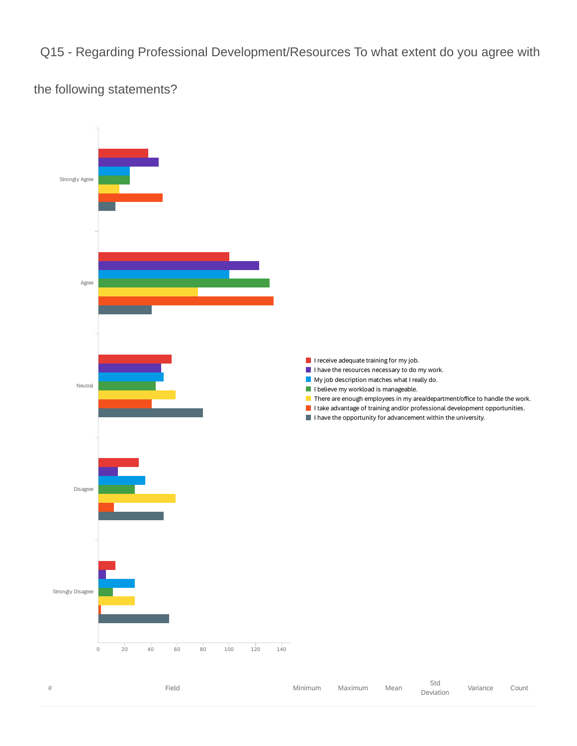Q15 - Regarding Professional Development/Resources To what extent do you agree with

the following statements?



| Field | Minimum | Maximum | Mean | 51a<br>Deviation | Variance | Count |
|-------|---------|---------|------|------------------|----------|-------|
|       |         |         |      |                  |          |       |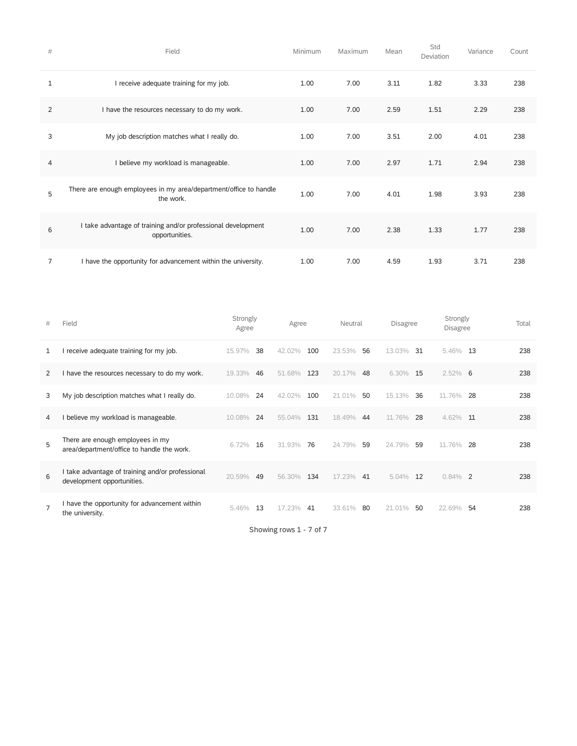| #              | Field                                                                          | Minimum | Maximum | Mean | Std<br>Deviation | Variance | Count |
|----------------|--------------------------------------------------------------------------------|---------|---------|------|------------------|----------|-------|
| 1              | I receive adequate training for my job.                                        | 1.00    | 7.00    | 3.11 | 1.82             | 3.33     | 238   |
| $\overline{2}$ | I have the resources necessary to do my work.                                  | 1.00    | 7.00    | 2.59 | 1.51             | 2.29     | 238   |
| 3              | My job description matches what I really do.                                   | 1.00    | 7.00    | 3.51 | 2.00             | 4.01     | 238   |
| 4              | I believe my workload is manageable.                                           | 1.00    | 7.00    | 2.97 | 1.71             | 2.94     | 238   |
| 5              | There are enough employees in my area/department/office to handle<br>the work. | 1.00    | 7.00    | 4.01 | 1.98             | 3.93     | 238   |
| 6              | I take advantage of training and/or professional development<br>opportunities. | 1.00    | 7.00    | 2.38 | 1.33             | 1.77     | 238   |
| 7              | I have the opportunity for advancement within the university.                  | 1.00    | 7.00    | 4.59 | 1.93             | 3.71     | 238   |

| #              | Field                                                                          | Strongly<br>Agree | Agree         | Neutral      | <b>Disagree</b> | Strongly<br><b>Disagree</b> | Total |
|----------------|--------------------------------------------------------------------------------|-------------------|---------------|--------------|-----------------|-----------------------------|-------|
| 1              | receive adequate training for my job.                                          | 38<br>15.97%      | 100<br>42.02% | 23.53%<br>56 | 31<br>13.03%    | 5.46%<br>13                 | 238   |
| 2              | I have the resources necessary to do my work.                                  | 19.33%<br>46      | 123<br>51.68% | 20.17%<br>48 | $6.30\%$<br>15  | $2.52\%$ 6                  | 238   |
| 3              | My job description matches what I really do.                                   | 24<br>10.08%      | 100<br>42.02% | 21.01%<br>50 | 15.13%<br>36    | 11.76%<br>28                | 238   |
| 4              | believe my workload is manageable.                                             | 24<br>10.08%      | 55.04%<br>131 | 18.49%<br>44 | 11.76%<br>28    | 4.62%<br>11                 | 238   |
| 5              | There are enough employees in my<br>area/department/office to handle the work. | 6.72%<br>16       | 76<br>31.93%  | 24.79%<br>59 | 24.79%<br>59    | 11.76%<br>28                | 238   |
| 6              | take advantage of training and/or professional<br>development opportunities.   | 20.59%<br>49      | 134<br>56.30% | 17.23%<br>41 | 5.04%<br>12     | 0.84%<br>$\overline{2}$     | 238   |
| $\overline{7}$ | I have the opportunity for advancement within<br>the university.               | 13<br>5.46%       | 17.23%<br>41  | 33.61%<br>80 | 21.01%<br>50    | 54<br>22.69%                | 238   |

Showing rows 1 - 7 of 7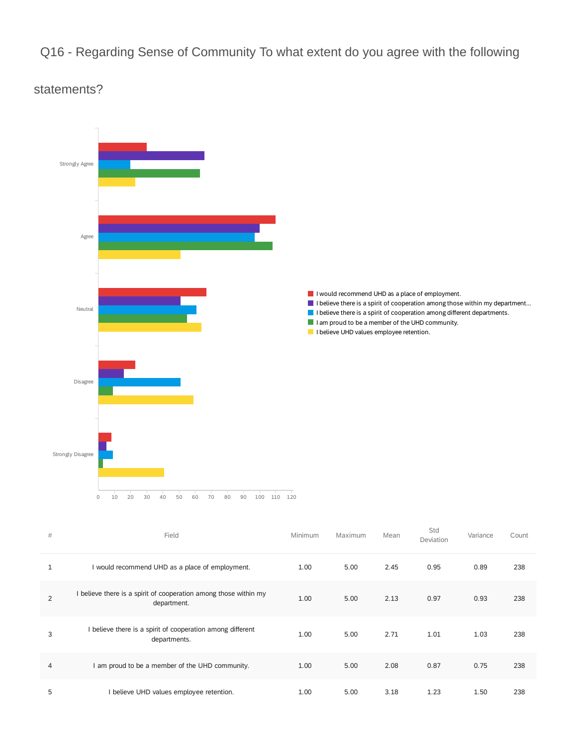### Q16 - Regarding Sense of Community To what extent do you agree with the following

### statements?



| $\#$           | Field                                                                         | Minimum | Maximum | Mean | Std<br>Deviation | Variance | Count |
|----------------|-------------------------------------------------------------------------------|---------|---------|------|------------------|----------|-------|
| 1              | I would recommend UHD as a place of employment.                               | 1.00    | 5.00    | 2.45 | 0.95             | 0.89     | 238   |
| $\overline{2}$ | believe there is a spirit of cooperation among those within my<br>department. | 1.00    | 5.00    | 2.13 | 0.97             | 0.93     | 238   |
| 3              | I believe there is a spirit of cooperation among different<br>departments.    | 1.00    | 5.00    | 2.71 | 1.01             | 1.03     | 238   |
| 4              | I am proud to be a member of the UHD community.                               | 1.00    | 5.00    | 2.08 | 0.87             | 0.75     | 238   |
| 5              | I believe UHD values employee retention.                                      | 1.00    | 5.00    | 3.18 | 1.23             | 1.50     | 238   |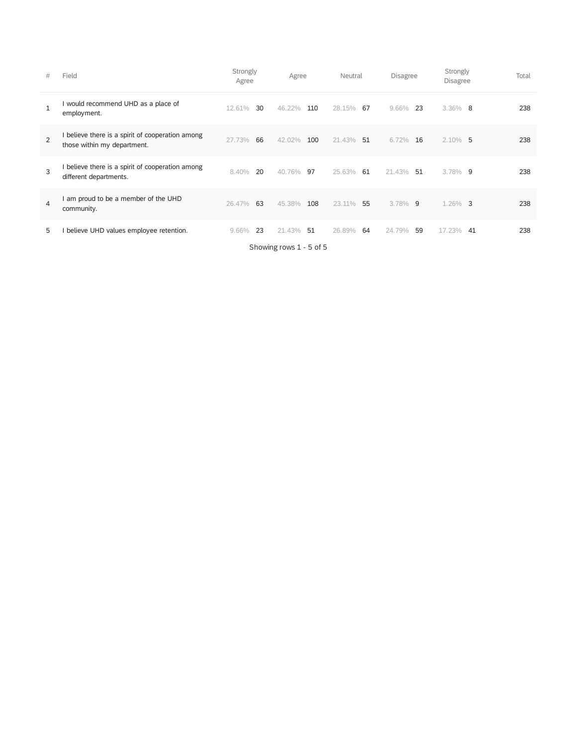| #            | Field                                                                         | Strongly<br>Agree | Agree                   | Neutral      | <b>Disagree</b> | Strongly<br><b>Disagree</b>      | Total |
|--------------|-------------------------------------------------------------------------------|-------------------|-------------------------|--------------|-----------------|----------------------------------|-------|
| $\mathbf{1}$ | would recommend UHD as a place of<br>employment.                              | 12.61%<br>30      | 46.22%<br>110           | 28.15%<br>67 | 9.66%<br>23     | $3.36\%$ 8                       | 238   |
| 2            | believe there is a spirit of cooperation among<br>those within my department. | 66<br>27.73%      | 100<br>42.02%           | 21.43%<br>51 | 6.72%<br>16     | $2.10\%$ 5                       | 238   |
| 3            | believe there is a spirit of cooperation among<br>different departments.      | 20<br>8.40%       | 40.76%<br>97            | 25.63%<br>61 | 21.43%<br>51    | $3.78\%$ 9                       | 238   |
| 4            | am proud to be a member of the UHD<br>community.                              | 63<br>26.47%      | 108<br>45.38%           | 23.11%<br>55 | 3.78%<br>9      | 1.26%<br>$\overline{\mathbf{3}}$ | 238   |
| 5            | believe UHD values employee retention.                                        | 23<br>9.66%       | 21.43%<br>51            | 26.89%<br>64 | 24.79%<br>59    | 17.23%<br>41                     | 238   |
|              |                                                                               |                   | Showing rows 1 - 5 of 5 |              |                 |                                  |       |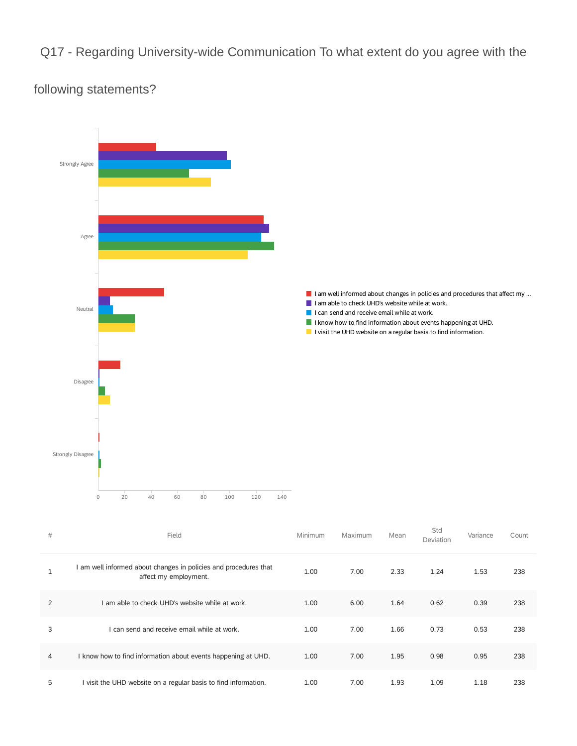Q17 - Regarding University-wide Communication To what extent do you agree with the

### following statements?



| # | Field                                                                                   | Minimum | Maximum | Mean | Std<br>Deviation | Variance | Count |
|---|-----------------------------------------------------------------------------------------|---------|---------|------|------------------|----------|-------|
|   | am well informed about changes in policies and procedures that<br>affect my employment. | 1.00    | 7.00    | 2.33 | 1.24             | 1.53     | 238   |
| 2 | am able to check UHD's website while at work.                                           | 1.00    | 6.00    | 1.64 | 0.62             | 0.39     | 238   |
| 3 | can send and receive email while at work.                                               | 1.00    | 7.00    | 1.66 | 0.73             | 0.53     | 238   |
| 4 | I know how to find information about events happening at UHD.                           | 1.00    | 7.00    | 1.95 | 0.98             | 0.95     | 238   |
| 5 | I visit the UHD website on a regular basis to find information.                         | 1.00    | 7.00    | 1.93 | 1.09             | 1.18     | 238   |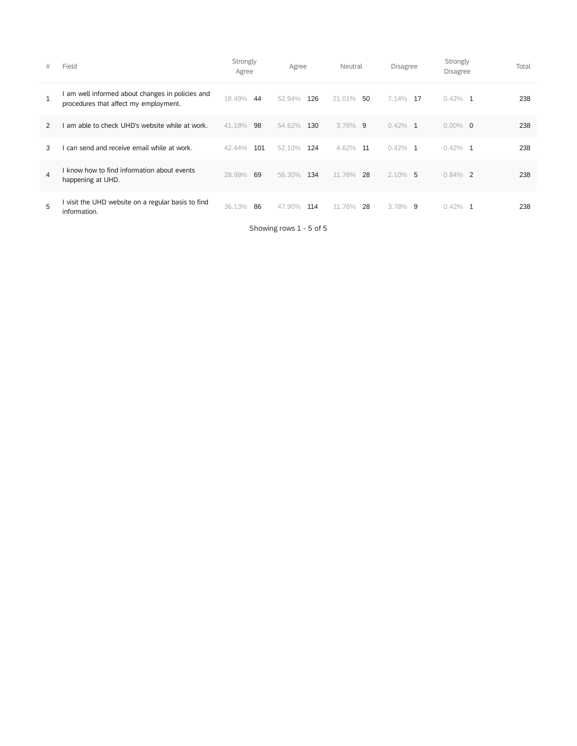| #             | Field                                                                                   | Strongly<br>Agree | Agree         | Neutral      | Disagree     | Strongly<br>Disagree    | Total |
|---------------|-----------------------------------------------------------------------------------------|-------------------|---------------|--------------|--------------|-------------------------|-------|
| 1             | am well informed about changes in policies and<br>procedures that affect my employment. | 18.49%<br>44      | 52.94%<br>126 | 21.01%<br>50 | 7.14%<br>17  | $0.42\%$ 1              | 238   |
| $\mathcal{P}$ | am able to check UHD's website while at work.                                           | 41.18%<br>98      | 54.62%<br>130 | $3.78\%$ 9   | $0.42\%$ 1   | $0.00\%$ 0              | 238   |
| 3             | can send and receive email while at work.                                               | 101<br>42.44%     | 124<br>52.10% | 4.62%<br>11  | $0.42\%$ 1   | $0.42\%$ 1              | 238   |
| 4             | I know how to find information about events<br>happening at UHD.                        | 69<br>28.99%      | 134<br>56.30% | 11.76%<br>28 | $2.10\%$ 5   | 0.84%<br>$\overline{2}$ | 238   |
| 5             | I visit the UHD website on a regular basis to find<br>information.                      | 86<br>36.13%      | 114<br>47.90% | 28<br>11.76% | 3.78%<br>- 9 | $0.42\%$<br>-1          | 238   |

Showing rows 1 - 5 of 5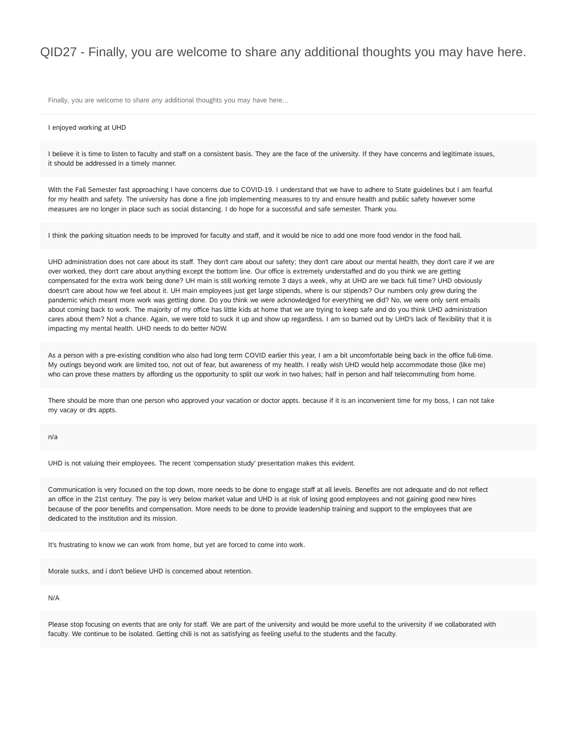### QID27 - Finally, you are welcome to share any additional thoughts you may have here.

Finally, you are welcome to share any additional thoughts you may have here...

#### I enjoyed working at UHD

I believe it is time to listen to faculty and staff on a consistent basis. They are the face of the university. If they have concerns and legitimate issues, it should be addressed in a timely manner.

With the Fall Semester fast approaching I have concerns due to COVID-19. I understand that we have to adhere to State guidelines but I am fearful for my health and safety. The university has done a fine job implementing measures to try and ensure health and public safety however some measures are no longer in place such as social distancing. I do hope for a successful and safe semester. Thank you.

I think the parking situation needs to be improved for faculty and staff, and it would be nice to add one more food vendor in the food hall.

UHD administration does not care about its staff. They don't care about our safety; they don't care about our mental health, they don't care if we are over worked, they don't care about anything except the bottom line. Our office is extremely understaffed and do you think we are getting compensated for the extra work being done? UH main is still working remote 3 days a week, why at UHD are we back full time? UHD obviously doesn't care about how we feel about it. UH main employees just get large stipends, where is our stipends? Our numbers only grew during the pandemic which meant more work was getting done. Do you think we were acknowledged for everything we did? No, we were only sent emails about coming back to work. The majority of my office has little kids at home that we are trying to keep safe and do you think UHD administration cares about them? Not a chance. Again, we were told to suck it up and show up regardless. I am so burned out by UHD's lack of flexibility that it is impacting my mental health. UHD needs to do better NOW.

As a person with a pre-existing condition who also had long term COVID earlier this year, I am a bit uncomfortable being back in the office full-time. My outings beyond work are limited too, not out of fear, but awareness of my health. I really wish UHD would help accommodate those (like me) who can prove these matters by affording us the opportunity to split our work in two halves; half in person and half telecommuting from home.

There should be more than one person who approved your vacation or doctor appts. because if it is an inconvenient time for my boss, I can not take my vacay or drs appts.

#### n/a

UHD is not valuing their employees. The recent 'compensation study' presentation makes this evident.

Communication is very focused on the top down, more needs to be done to engage staff at all levels. Benefits are not adequate and do not reflect an office in the 21st century. The pay is very below market value and UHD is at risk of losing good employees and not gaining good new hires because of the poor benefits and compensation. More needs to be done to provide leadership training and support to the employees that are dedicated to the institution and its mission.

It's frustrating to know we can work from home, but yet are forced to come into work.

Morale sucks, and i don't believe UHD is concerned about retention.

#### N/A

Please stop focusing on events that are only for staff. We are part of the university and would be more useful to the university if we collaborated with faculty. We continue to be isolated. Getting chili is not as satisfying as feeling useful to the students and the faculty.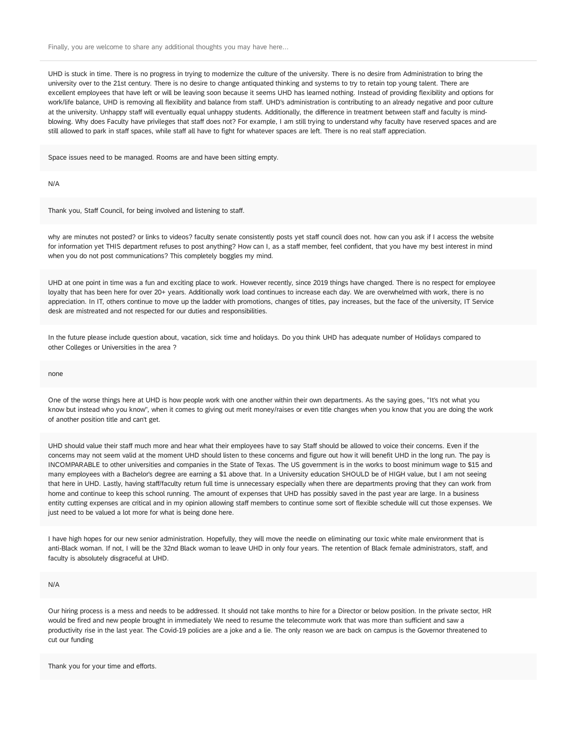Finally, you are welcome to share any additional thoughts you may have here...

UHD is stuck in time. There is no progress in trying to modernize the culture of the university. There is no desire from Administration to bring the university over to the 21st century. There is no desire to change antiquated thinking and systems to try to retain top young talent. There are excellent employees that have left or will be leaving soon because it seems UHD has learned nothing. Instead of providing flexibility and options for work/life balance, UHD is removing all flexibility and balance from staff. UHD's administration is contributing to an already negative and poor culture at the university. Unhappy staff will eventually equal unhappy students. Additionally, the difference in treatment between staff and faculty is mindblowing. Why does Faculty have privileges that staff does not? For example, I am still trying to understand why faculty have reserved spaces and are still allowed to park in staff spaces, while staff all have to fight for whatever spaces are left. There is no real staff appreciation.

Space issues need to be managed. Rooms are and have been sitting empty.

N/A

Thank you, Staff Council, for being involved and listening to staff.

why are minutes not posted? or links to videos? faculty senate consistently posts yet staff council does not. how can you ask if I access the website for information yet THIS department refuses to post anything? How can I, as a staff member, feel confident, that you have my best interest in mind when you do not post communications? This completely boggles my mind.

UHD at one point in time was a fun and exciting place to work. However recently, since 2019 things have changed. There is no respect for employee loyalty that has been here for over 20+ years. Additionally work load continues to increase each day. We are overwhelmed with work, there is no appreciation. In IT, others continue to move up the ladder with promotions, changes of titles, pay increases, but the face of the university, IT Service desk are mistreated and not respected for our duties and responsibilities.

In the future please include question about, vacation, sick time and holidays. Do you think UHD has adequate number of Holidays compared to other Colleges or Universities in the area ?

none

One of the worse things here at UHD is how people work with one another within their own departments. As the saying goes, "It's not what you know but instead who you know", when it comes to giving out merit money/raises or even title changes when you know that you are doing the work of another position title and can't get.

UHD should value their staff much more and hear what their employees have to say Staff should be allowed to voice their concerns. Even if the concerns may not seem valid at the moment UHD should listen to these concerns and figure out how it will benefit UHD in the long run. The pay is INCOMPARABLE to other universities and companies in the State of Texas. The US government is in the works to boost minimum wage to \$15 and many employees with a Bachelor's degree are earning a \$1 above that. In a University education SHOULD be of HIGH value, but I am not seeing that here in UHD. Lastly, having staff/faculty return full time is unnecessary especially when there are departments proving that they can work from home and continue to keep this school running. The amount of expenses that UHD has possibly saved in the past year are large. In a business entity cutting expenses are critical and in my opinion allowing staff members to continue some sort of flexible schedule will cut those expenses. We just need to be valued a lot more for what is being done here.

I have high hopes for our new senior administration. Hopefully, they will move the needle on eliminating our toxic white male environment that is anti-Black woman. If not, I will be the 32nd Black woman to leave UHD in only four years. The retention of Black female administrators, staff, and faculty is absolutely disgraceful at UHD.

N/A

Our hiring process is a mess and needs to be addressed. It should not take months to hire for a Director or below position. In the private sector, HR would be fired and new people brought in immediately We need to resume the telecommute work that was more than sufficient and saw a productivity rise in the last year. The Covid-19 policies are a joke and a lie. The only reason we are back on campus is the Governor threatened to cut our funding

Thank you for your time and efforts.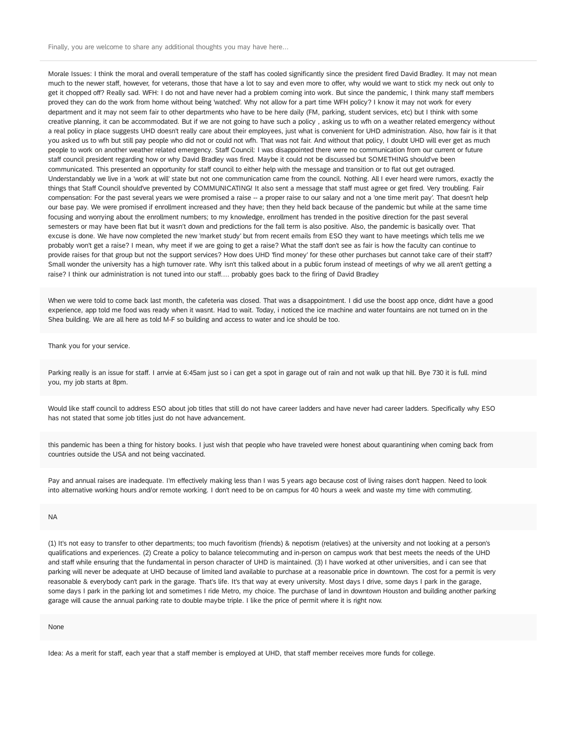Finally, you are welcome to share any additional thoughts you may have here...

Morale Issues: I think the moral and overall temperature of the staff has cooled significantly since the president fired David Bradley. It may not mean much to the newer staff, however, for veterans, those that have a lot to say and even more to offer, why would we want to stick my neck out only to get it chopped off? Really sad. WFH: I do not and have never had a problem coming into work. But since the pandemic, I think many staff members proved they can do the work from home without being 'watched'. Why not allow for a part time WFH policy? I know it may not work for every department and it may not seem fair to other departments who have to be here daily (FM, parking, student services, etc) but I think with some creative planning, it can be accommodated. But if we are not going to have such a policy , asking us to wfh on a weather related emergency without a real policy in place suggests UHD doesn't really care about their employees, just what is convenient for UHD administration. Also, how fair is it that you asked us to wfh but still pay people who did not or could not wfh. That was not fair. And without that policy, I doubt UHD will ever get as much people to work on another weather related emergency. Staff Council: I was disappointed there were no communication from our current or future staff council president regarding how or why David Bradley was fired. Maybe it could not be discussed but SOMETHING should've been communicated. This presented an opportunity for staff council to either help with the message and transition or to flat out get outraged. Understandably we live in a 'work at will' state but not one communication came from the council. Nothing. All I ever heard were rumors, exactly the things that Staff Council should've prevented by COMMUNICATING! It also sent a message that staff must agree or get fired. Very troubling. Fair compensation: For the past several years we were promised a raise -- a proper raise to our salary and not a 'one time merit pay'. That doesn't help our base pay. We were promised if enrollment increased and they have; then they held back because of the pandemic but while at the same time focusing and worrying about the enrollment numbers; to my knowledge, enrollment has trended in the positive direction for the past several semesters or may have been flat but it wasn't down and predictions for the fall term is also positive. Also, the pandemic is basically over. That excuse is done. We have now completed the new 'market study' but from recent emails from ESO they want to have meetings which tells me we probably won't get a raise? I mean, why meet if we are going to get a raise? What the staff don't see as fair is how the faculty can continue to provide raises for that group but not the support services? How does UHD 'find money' for these other purchases but cannot take care of their staff? Small wonder the university has a high turnover rate. Why isn't this talked about in a public forum instead of meetings of why we all aren't getting a raise? I think our administration is not tuned into our staff.... probably goes back to the firing of David Bradley

When we were told to come back last month, the cafeteria was closed. That was a disappointment. I did use the boost app once, didnt have a good experience, app told me food was ready when it wasnt. Had to wait. Today, i noticed the ice machine and water fountains are not turned on in the Shea building. We are all here as told M-F so building and access to water and ice should be too.

Thank you for your service.

Parking really is an issue for staff. I arrvie at 6:45am just so i can get a spot in garage out of rain and not walk up that hill. Bye 730 it is full. mind you, my job starts at 8pm.

Would like staff council to address ESO about job titles that still do not have career ladders and have never had career ladders. Specifically why ESO has not stated that some job titles just do not have advancement.

this pandemic has been a thing for history books. I just wish that people who have traveled were honest about quarantining when coming back from countries outside the USA and not being vaccinated.

Pay and annual raises are inadequate. I'm effectively making less than I was 5 years ago because cost of living raises don't happen. Need to look into alternative working hours and/or remote working. I don't need to be on campus for 40 hours a week and waste my time with commuting.

#### NA

(1) It's not easy to transfer to other departments; too much favoritism (friends) & nepotism (relatives) at the university and not looking at a person's qualifications and experiences. (2) Create a policy to balance telecommuting and in-person on campus work that best meets the needs of the UHD and staff while ensuring that the fundamental in person character of UHD is maintained. (3) I have worked at other universities, and i can see that parking will never be adequate at UHD because of limited land available to purchase at a reasonable price in downtown. The cost for a permit is very reasonable & everybody can't park in the garage. That's life. It's that way at every university. Most days I drive, some days I park in the garage, some days I park in the parking lot and sometimes I ride Metro, my choice. The purchase of land in downtown Houston and building another parking garage will cause the annual parking rate to double maybe triple. I like the price of permit where it is right now.

#### None

Idea: As a merit for staff, each year that a staff member is employed at UHD, that staff member receives more funds for college.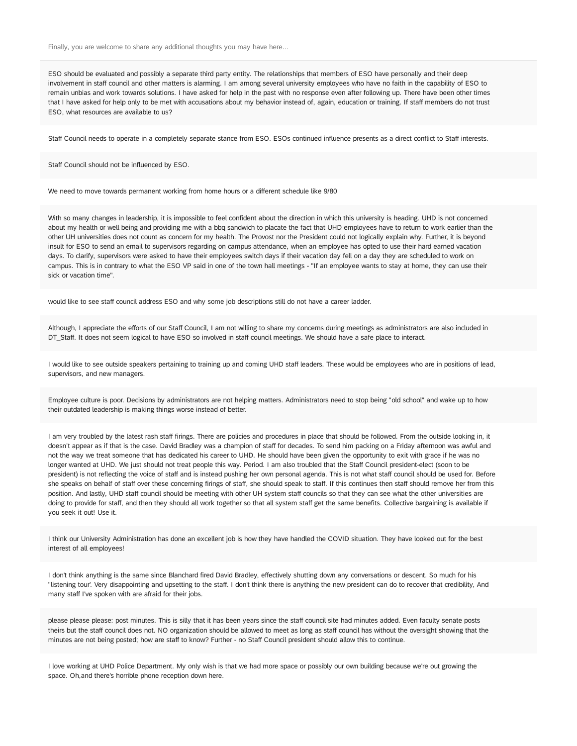Finally, you are welcome to share any additional thoughts you may have here...

ESO should be evaluated and possibly a separate third party entity. The relationships that members of ESO have personally and their deep involvement in staff council and other matters is alarming. I am among several university employees who have no faith in the capability of ESO to remain unbias and work towards solutions. I have asked for help in the past with no response even after following up. There have been other times that I have asked for help only to be met with accusations about my behavior instead of, again, education or training. If staff members do not trust ESO, what resources are available to us?

Staff Council needs to operate in a completely separate stance from ESO. ESOs continued influence presents as a direct conflict to Staff interests.

Staff Council should not be influenced by ESO.

We need to move towards permanent working from home hours or a different schedule like 9/80

With so many changes in leadership, it is impossible to feel confident about the direction in which this university is heading. UHD is not concerned about my health or well being and providing me with a bbq sandwich to placate the fact that UHD employees have to return to work earlier than the other UH universities does not count as concern for my health. The Provost nor the President could not logically explain why. Further, it is beyond insult for ESO to send an email to supervisors regarding on campus attendance, when an employee has opted to use their hard earned vacation days. To clarify, supervisors were asked to have their employees switch days if their vacation day fell on a day they are scheduled to work on campus. This is in contrary to what the ESO VP said in one of the town hall meetings - "If an employee wants to stay at home, they can use their sick or vacation time".

would like to see staff council address ESO and why some job descriptions still do not have a career ladder.

Although, I appreciate the efforts of our Staff Council, I am not willing to share my concerns during meetings as administrators are also included in DT\_Staff. It does not seem logical to have ESO so involved in staff council meetings. We should have a safe place to interact.

I would like to see outside speakers pertaining to training up and coming UHD staff leaders. These would be employees who are in positions of lead, supervisors, and new managers.

Employee culture is poor. Decisions by administrators are not helping matters. Administrators need to stop being "old school" and wake up to how their outdated leadership is making things worse instead of better.

I am very troubled by the latest rash staff firings. There are policies and procedures in place that should be followed. From the outside looking in, it doesn't appear as if that is the case. David Bradley was a champion of staff for decades. To send him packing on a Friday afternoon was awful and not the way we treat someone that has dedicated his career to UHD. He should have been given the opportunity to exit with grace if he was no longer wanted at UHD. We just should not treat people this way. Period. I am also troubled that the Staff Council president-elect (soon to be president) is not reflecting the voice of staff and is instead pushing her own personal agenda. This is not what staff council should be used for. Before she speaks on behalf of staff over these concerning firings of staff, she should speak to staff. If this continues then staff should remove her from this position. And lastly, UHD staff council should be meeting with other UH system staff councils so that they can see what the other universities are doing to provide for staff, and then they should all work together so that all system staff get the same benefits. Collective bargaining is available if you seek it out! Use it.

I think our University Administration has done an excellent job is how they have handled the COVID situation. They have looked out for the best interest of all employees!

I don't think anything is the same since Blanchard fired David Bradley, effectively shutting down any conversations or descent. So much for his "listening tour'. Very disappointing and upsetting to the staff. I don't think there is anything the new president can do to recover that credibility, And many staff I've spoken with are afraid for their jobs.

please please please: post minutes. This is silly that it has been years since the staff council site had minutes added. Even faculty senate posts theirs but the staff council does not. NO organization should be allowed to meet as long as staff council has without the oversight showing that the minutes are not being posted; how are staff to know? Further - no Staff Council president should allow this to continue.

I love working at UHD Police Department. My only wish is that we had more space or possibly our own building because we're out growing the space. Oh,and there's horrible phone reception down here.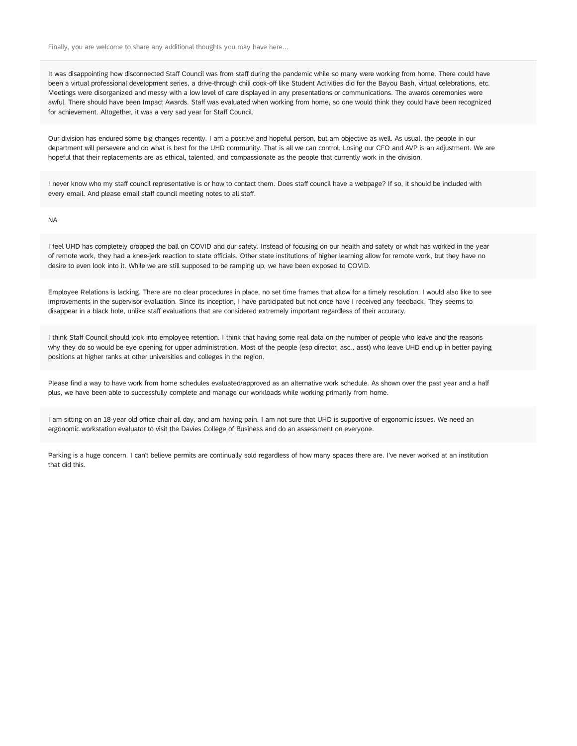It was disappointing how disconnected Staff Council was from staff during the pandemic while so many were working from home. There could have been a virtual professional development series, a drive-through chili cook-off like Student Activities did for the Bayou Bash, virtual celebrations, etc. Meetings were disorganized and messy with a low level of care displayed in any presentations or communications. The awards ceremonies were awful. There should have been Impact Awards. Staff was evaluated when working from home, so one would think they could have been recognized for achievement. Altogether, it was a very sad year for Staff Council.

Our division has endured some big changes recently. I am a positive and hopeful person, but am objective as well. As usual, the people in our department will persevere and do what is best for the UHD community. That is all we can control. Losing our CFO and AVP is an adjustment. We are hopeful that their replacements are as ethical, talented, and compassionate as the people that currently work in the division.

I never know who my staff council representative is or how to contact them. Does staff council have a webpage? If so, it should be included with every email. And please email staff council meeting notes to all staff.

NA

I feel UHD has completely dropped the ball on COVID and our safety. Instead of focusing on our health and safety or what has worked in the year of remote work, they had a knee-jerk reaction to state officials. Other state institutions of higher learning allow for remote work, but they have no desire to even look into it. While we are still supposed to be ramping up, we have been exposed to COVID.

Employee Relations is lacking. There are no clear procedures in place, no set time frames that allow for a timely resolution. I would also like to see improvements in the supervisor evaluation. Since its inception, I have participated but not once have I received any feedback. They seems to disappear in a black hole, unlike staff evaluations that are considered extremely important regardless of their accuracy.

I think Staff Council should look into employee retention. I think that having some real data on the number of people who leave and the reasons why they do so would be eye opening for upper administration. Most of the people (esp director, asc., asst) who leave UHD end up in better paying positions at higher ranks at other universities and colleges in the region.

Please find a way to have work from home schedules evaluated/approved as an alternative work schedule. As shown over the past year and a half plus, we have been able to successfully complete and manage our workloads while working primarily from home.

I am sitting on an 18-year old office chair all day, and am having pain. I am not sure that UHD is supportive of ergonomic issues. We need an ergonomic workstation evaluator to visit the Davies College of Business and do an assessment on everyone.

Parking is a huge concern. I can't believe permits are continually sold regardless of how many spaces there are. I've never worked at an institution that did this.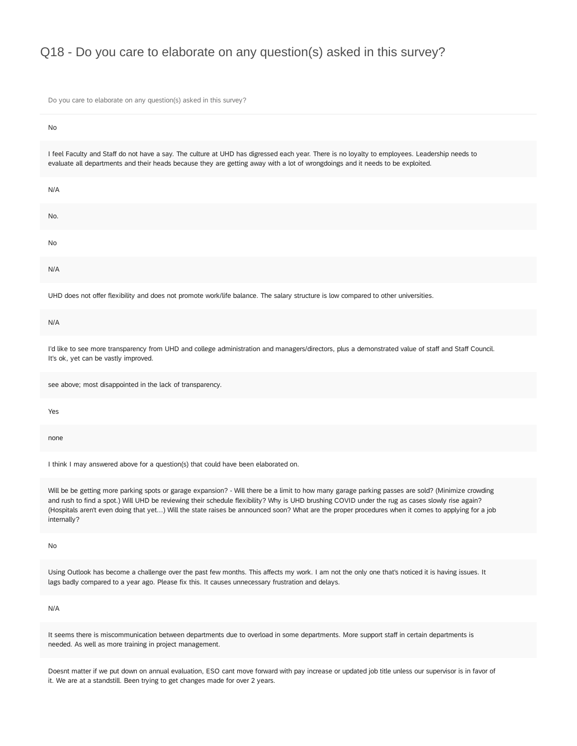### Q18 - Do you care to elaborate on any question(s) asked in this survey?

Do you care to elaborate on any question(s) asked in this survey?

| No                                                                                                                                                                                                                                                                              |
|---------------------------------------------------------------------------------------------------------------------------------------------------------------------------------------------------------------------------------------------------------------------------------|
| I feel Faculty and Staff do not have a say. The culture at UHD has digressed each year. There is no loyalty to employees. Leadership needs to<br>evaluate all departments and their heads because they are getting away with a lot of wrongdoings and it needs to be exploited. |
| N/A                                                                                                                                                                                                                                                                             |
| No.                                                                                                                                                                                                                                                                             |
| <b>No</b>                                                                                                                                                                                                                                                                       |
| N/A                                                                                                                                                                                                                                                                             |
|                                                                                                                                                                                                                                                                                 |

UHD does not offer flexibility and does not promote work/life balance. The salary structure is low compared to other universities.

N/A

I'd like to see more transparency from UHD and college administration and managers/directors, plus a demonstrated value of staff and Staff Council. It's ok, yet can be vastly improved.

see above; most disappointed in the lack of transparency.

Yes

none

I think I may answered above for a question(s) that could have been elaborated on.

Will be be getting more parking spots or garage expansion? - Will there be a limit to how many garage parking passes are sold? (Minimize crowding and rush to find a spot.) Will UHD be reviewing their schedule flexibility? Why is UHD brushing COVID under the rug as cases slowly rise again? (Hospitals aren't even doing that yet...) Will the state raises be announced soon? What are the proper procedures when it comes to applying for a job internally?

No

Using Outlook has become a challenge over the past few months. This affects my work. I am not the only one that's noticed it is having issues. It lags badly compared to a year ago. Please fix this. It causes unnecessary frustration and delays.

N/A

It seems there is miscommunication between departments due to overload in some departments. More support staff in certain departments is needed. As well as more training in project management.

Doesnt matter if we put down on annual evaluation, ESO cant move forward with pay increase or updated job title unless our supervisor is in favor of it. We are at a standstill. Been trying to get changes made for over 2 years.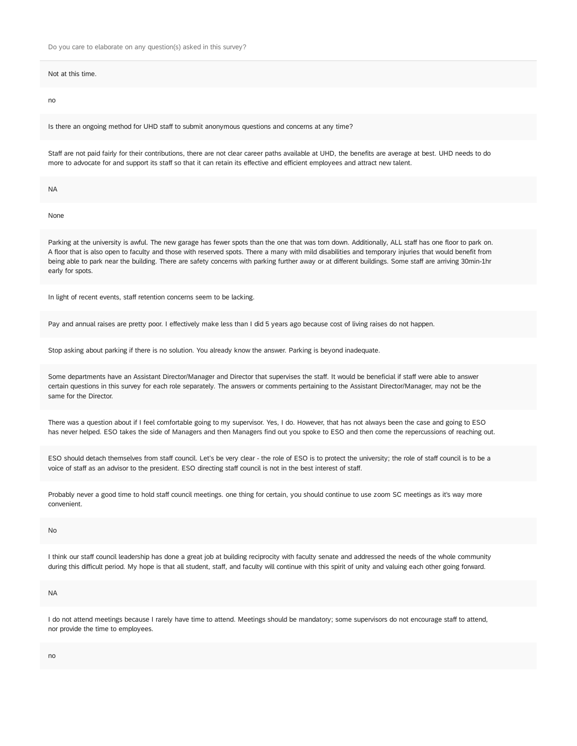Do you care to elaborate on any question(s) asked in this survey?

Not at this time.

no

Is there an ongoing method for UHD staff to submit anonymous questions and concerns at any time?

Staff are not paid fairly for their contributions, there are not clear career paths available at UHD, the benefits are average at best. UHD needs to do more to advocate for and support its staff so that it can retain its effective and efficient employees and attract new talent.

NA

None

Parking at the university is awful. The new garage has fewer spots than the one that was torn down. Additionally, ALL staff has one floor to park on. A floor that is also open to faculty and those with reserved spots. There a many with mild disabilities and temporary injuries that would benefit from being able to park near the building. There are safety concerns with parking further away or at different buildings. Some staff are arriving 30min-1hr early for spots.

In light of recent events, staff retention concerns seem to be lacking.

Pay and annual raises are pretty poor. I effectively make less than I did 5 years ago because cost of living raises do not happen.

Stop asking about parking if there is no solution. You already know the answer. Parking is beyond inadequate.

Some departments have an Assistant Director/Manager and Director that supervises the staff. It would be beneficial if staff were able to answer certain questions in this survey for each role separately. The answers or comments pertaining to the Assistant Director/Manager, may not be the same for the Director.

There was a question about if I feel comfortable going to my supervisor. Yes, I do. However, that has not always been the case and going to ESO has never helped. ESO takes the side of Managers and then Managers find out you spoke to ESO and then come the repercussions of reaching out.

ESO should detach themselves from staff council. Let's be very clear - the role of ESO is to protect the university; the role of staff council is to be a voice of staff as an advisor to the president. ESO directing staff council is not in the best interest of staff.

Probably never a good time to hold staff council meetings. one thing for certain, you should continue to use zoom SC meetings as it's way more convenient.

No

I think our staff council leadership has done a great job at building reciprocity with faculty senate and addressed the needs of the whole community during this difficult period. My hope is that all student, staff, and faculty will continue with this spirit of unity and valuing each other going forward.

NA

I do not attend meetings because I rarely have time to attend. Meetings should be mandatory; some supervisors do not encourage staff to attend, nor provide the time to employees.

no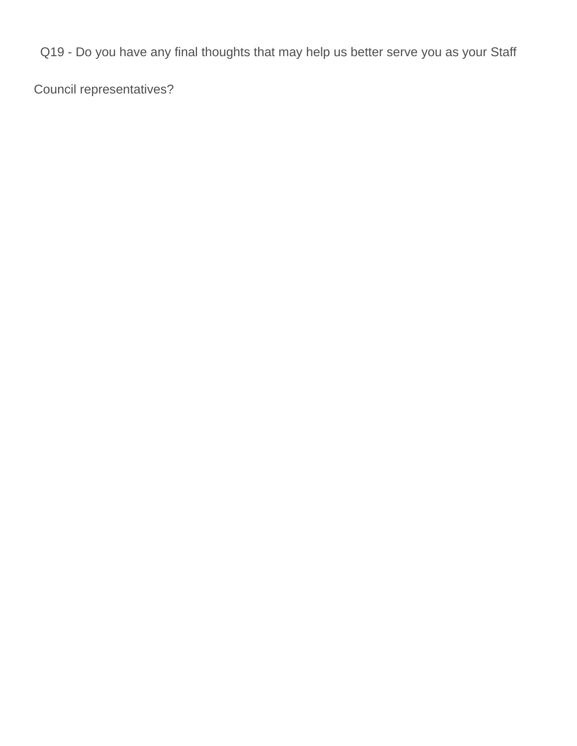Q19 - Do you have any final thoughts that may help us better serve you as your Staff

Council representatives?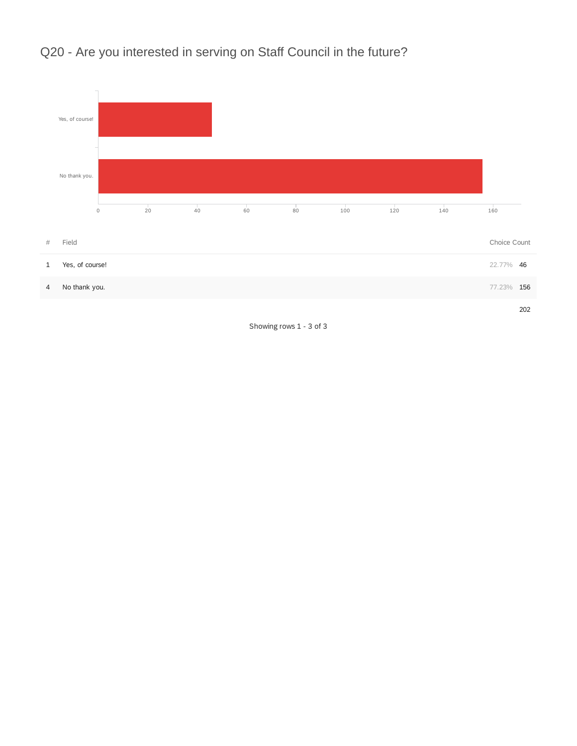



Showing rows 1 - 3 of 3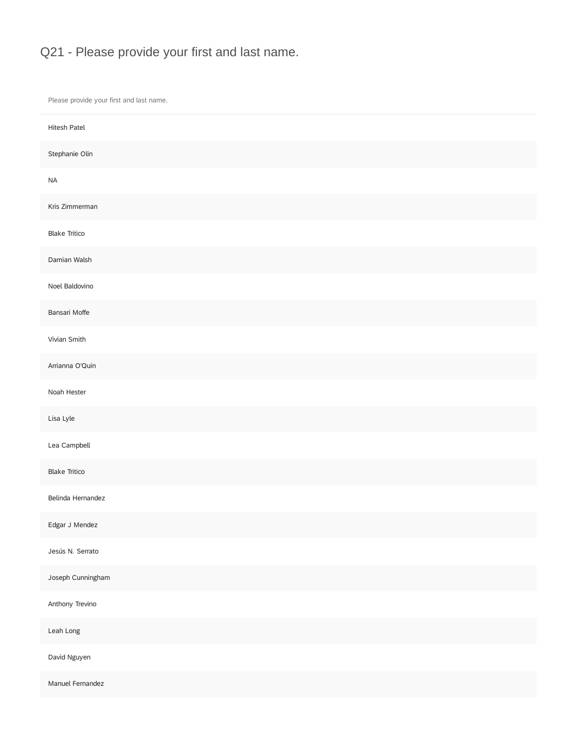# Q21 - Please provide your first and last name.

Please provide your first and last name.

| Hitesh Patel         |  |
|----------------------|--|
| Stephanie Olin       |  |
| $\sf NA$             |  |
| Kris Zimmerman       |  |
| <b>Blake Tritico</b> |  |
| Damian Walsh         |  |
| Noel Baldovino       |  |
| Bansari Moffe        |  |
| Vivian Smith         |  |
| Arrianna O'Quin      |  |
| Noah Hester          |  |
| Lisa Lyle            |  |
| Lea Campbell         |  |
| <b>Blake Tritico</b> |  |
| Belinda Hernandez    |  |
| Edgar J Mendez       |  |
| Jesús N. Serrato     |  |
| Joseph Cunningham    |  |
| Anthony Trevino      |  |
| Leah Long            |  |
| David Nguyen         |  |
| Manuel Fernandez     |  |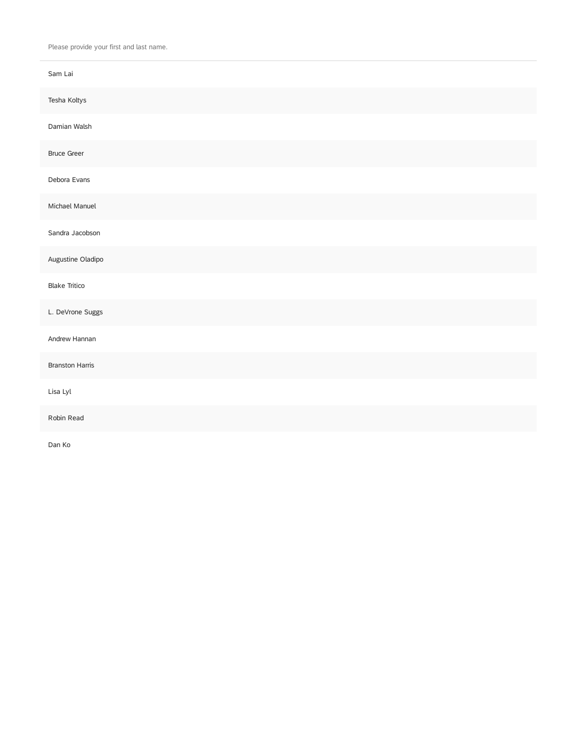Please provide your first and last name.

| Sam Lai                |
|------------------------|
| Tesha Koltys           |
| Damian Walsh           |
| <b>Bruce Greer</b>     |
| Debora Evans           |
| Michael Manuel         |
| Sandra Jacobson        |
| Augustine Oladipo      |
| <b>Blake Tritico</b>   |
| L. DeVrone Suggs       |
| Andrew Hannan          |
| <b>Branston Harris</b> |
| Lisa Lyl               |
| Robin Read             |
| Dan Ko                 |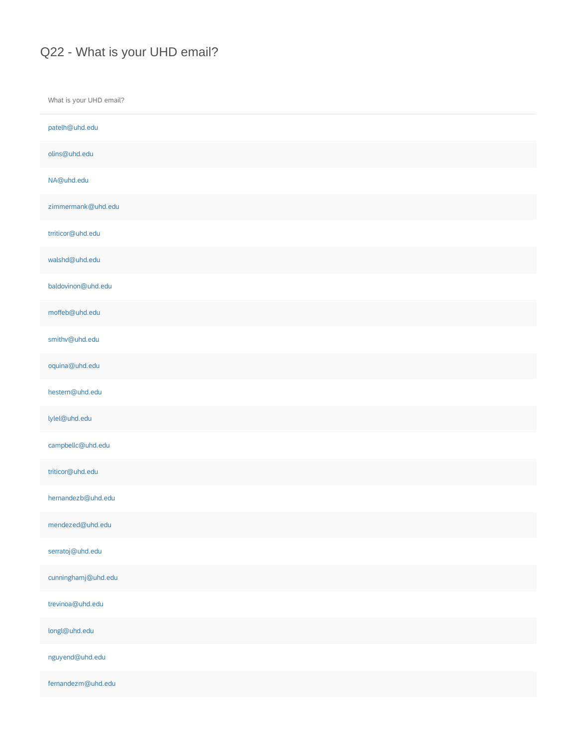### Q22 - What is your UHD email?

What is your UHD email? patelh@uhd.edu olins@uhd.edu NA@uhd.edu zimmermank@uhd.edu trriticor@uhd.edu walshd@uhd.edu baldovinon@uhd.edu moffeb@uhd.edu smithv@uhd.edu oquina@uhd.edu hestern@uhd.edu lylel@uhd.edu campbellc@uhd.edu triticor@uhd.edu hernandezb@uhd.edu mendezed@uhd.edu serratoj@uhd.edu cunninghamj@uhd.edu trevinoa@uhd.edu longl@uhd.edu nguyend@uhd.edu fernandezm@uhd.edu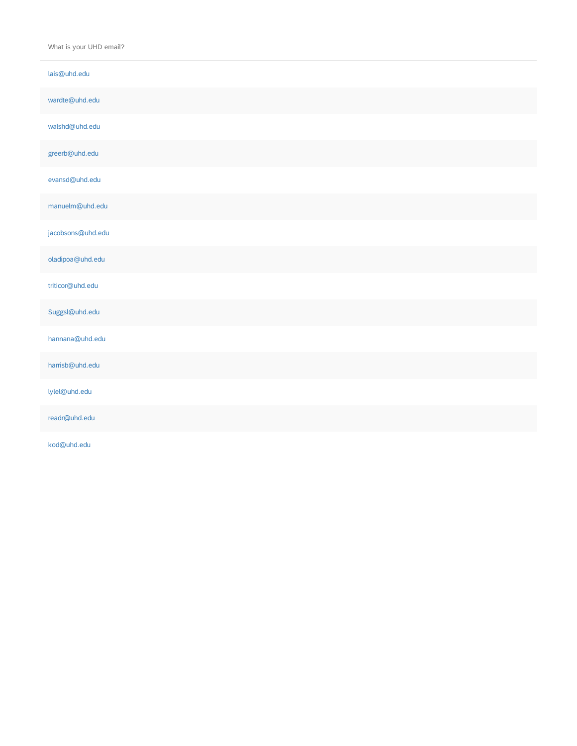What is your UHD email?

| lais@uhd.edu      |  |
|-------------------|--|
| wardte@uhd.edu    |  |
| walshd@uhd.edu    |  |
| greerb@uhd.edu    |  |
| evansd@uhd.edu    |  |
| manuelm@uhd.edu   |  |
| jacobsons@uhd.edu |  |
| oladipoa@uhd.edu  |  |
| triticor@uhd.edu  |  |
| Suggsl@uhd.edu    |  |
| hannana@uhd.edu   |  |
| harrisb@uhd.edu   |  |
| lylel@uhd.edu     |  |
| readr@uhd.edu     |  |

kod@uhd.edu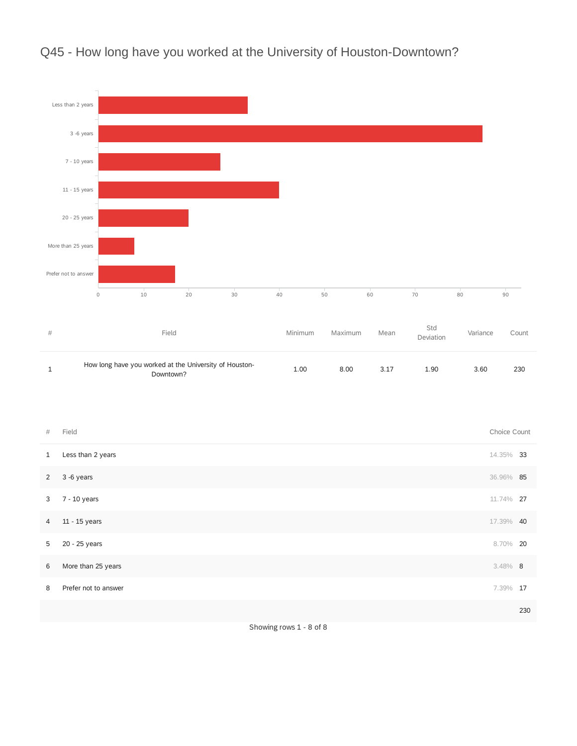

# Q45 - How long have you worked at the University of Houston-Downtown?

| Field                                                               | Minimum | Maximum | Mean | ----<br>Deviation | Variance | Count |
|---------------------------------------------------------------------|---------|---------|------|-------------------|----------|-------|
| How long have you worked at the University of Houston-<br>Downtown? | 1.00    | 8.00    | 3.17 | 1.90              | 3.60     | 230   |

| $\#$           | Field                | Choice Count |     |
|----------------|----------------------|--------------|-----|
| 1              | Less than 2 years    | 14.35% 33    |     |
| $2^{\circ}$    | 3 -6 years           | 36.96% 85    |     |
| 3              | 7 - 10 years         | 11.74% 27    |     |
| $\overline{4}$ | 11 - 15 years        | 17.39% 40    |     |
| 5              | 20 - 25 years        | 8.70% 20     |     |
| 6              | More than 25 years   | $3.48\%$ 8   |     |
| 8              | Prefer not to answer | 7.39% 17     |     |
|                |                      |              | 230 |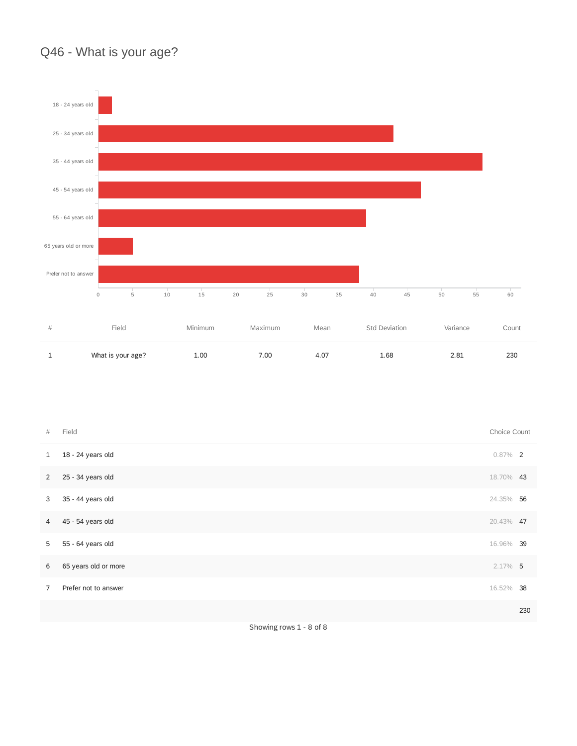# Q46 - What is your age?



| $\#$           | Field                | Choice Count |     |
|----------------|----------------------|--------------|-----|
| $\mathbf{1}$   | 18 - 24 years old    | $0.87\%$ 2   |     |
| 2              | 25 - 34 years old    | 18.70% 43    |     |
| 3              | 35 - 44 years old    | 24.35% 56    |     |
| $\overline{4}$ | 45 - 54 years old    | 20.43% 47    |     |
| 5              | 55 - 64 years old    | 16.96% 39    |     |
| 6              | 65 years old or more | $2.17\%$ 5   |     |
| $\overline{7}$ | Prefer not to answer | 16.52% 38    |     |
|                |                      |              | 230 |
|                |                      |              |     |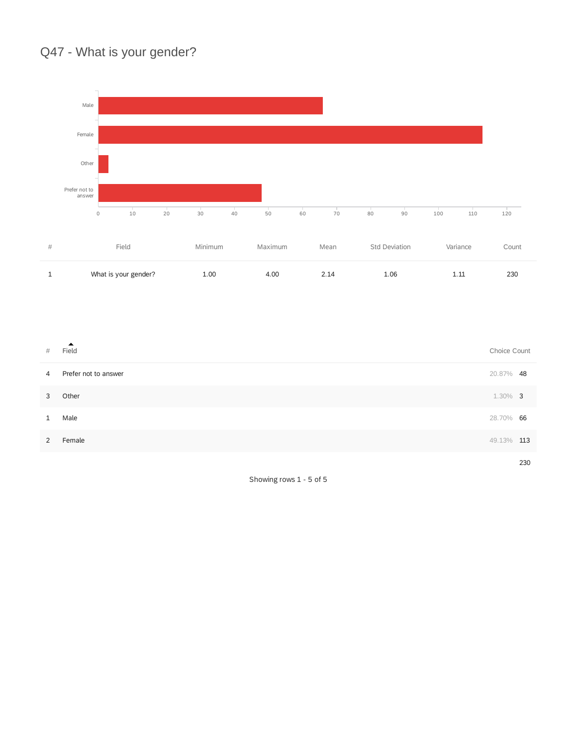# Q47 - What is your gender?



| #              | А.<br>Field          | Choice Count |     |
|----------------|----------------------|--------------|-----|
| $\overline{4}$ | Prefer not to answer | 20.87% 48    |     |
| 3              | Other                | $1.30\%$ 3   |     |
|                | Male                 | 28.70% 66    |     |
| 2              | Female               | 49.13%       | 113 |
|                |                      |              |     |

Showing rows 1 - 5 of 5

230